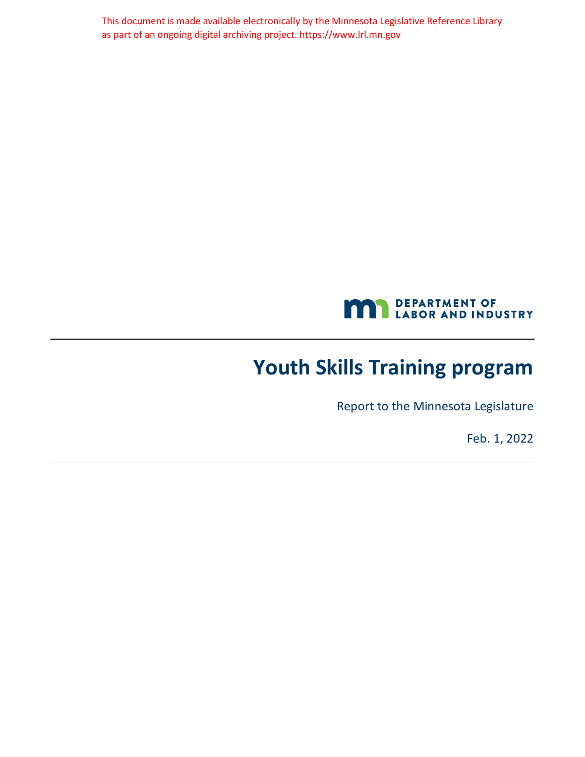This document is made available electronically by the Minnesota Legislative Reference Library as part of an ongoing digital archiving project. https://www.lrl.mn.gov



# <span id="page-0-0"></span>**Youth Skills Training program**

Report to the Minnesota Legislature

Feb. 1, 2022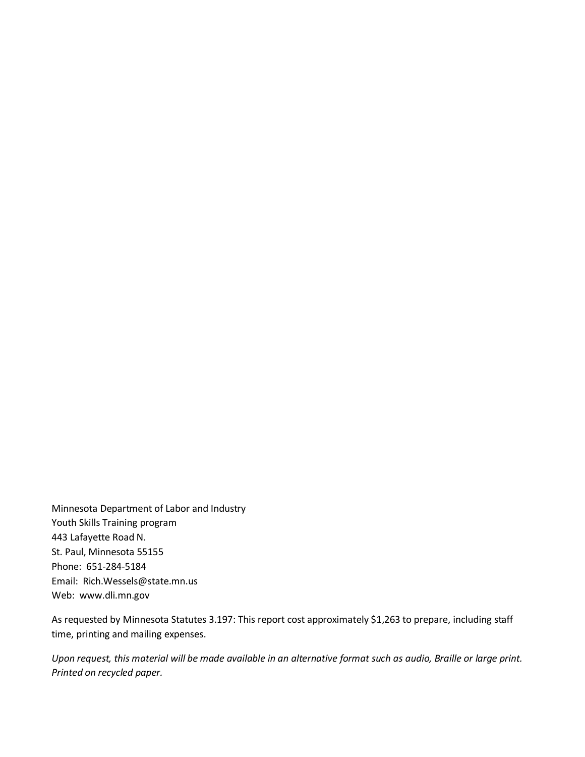Minnesota Department of Labor and Industry Youth Skills Training program 443 Lafayette Road N. St. Paul, Minnesota 55155 Phone: 651-284-5184 Email: Rich.Wessels@state.mn.us Web: www.dli.mn.gov

As requested by Minnesota Statutes 3.197: This report cost approximately \$1,263 to prepare, including staff time, printing and mailing expenses.

*Upon request, this material will be made available in an alternative format such as audio, Braille or large print. Printed on recycled paper.*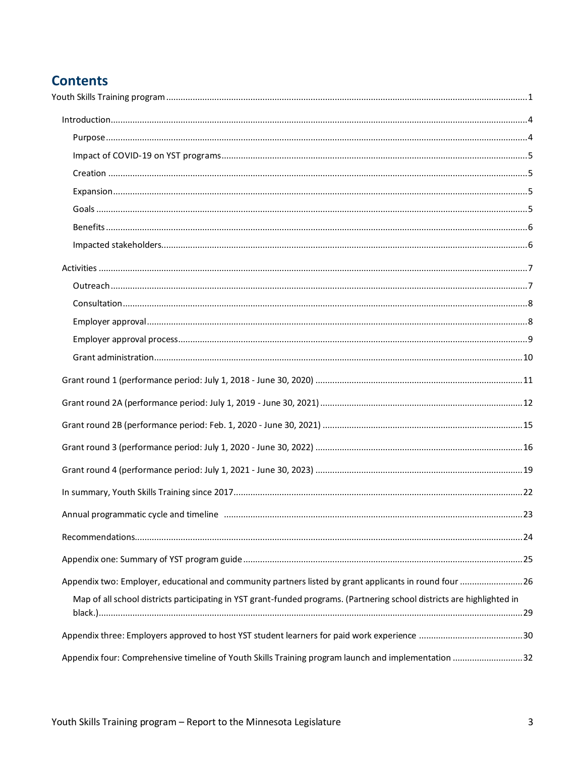### **Contents**

| Appendix two: Employer, educational and community partners listed by grant applicants in round four  26                 |  |
|-------------------------------------------------------------------------------------------------------------------------|--|
| Map of all school districts participating in YST grant-funded programs. (Partnering school districts are highlighted in |  |
|                                                                                                                         |  |
| Appendix four: Comprehensive timeline of Youth Skills Training program launch and implementation 32                     |  |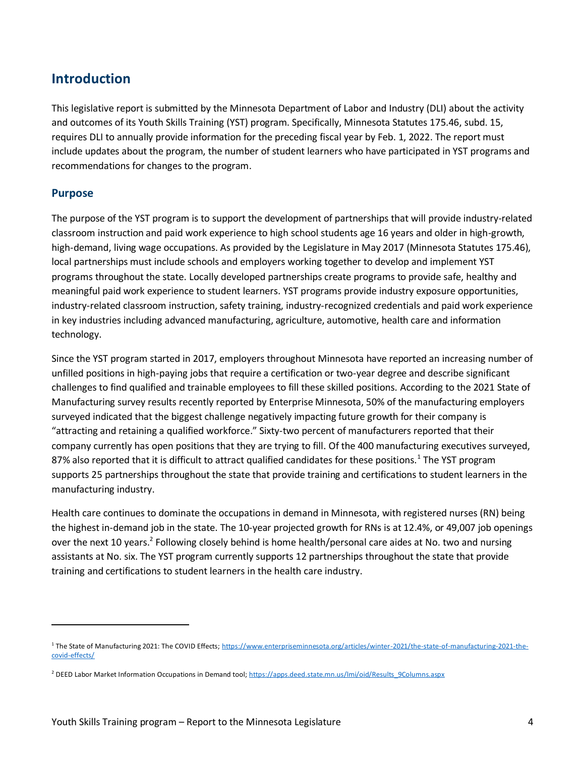### <span id="page-3-0"></span>**Introduction**

This legislative report is submitted by the Minnesota Department of Labor and Industry (DLI) about the activity and outcomes of its Youth Skills Training (YST) program. Specifically, Minnesota Statutes 175.46, subd. 15, requires DLI to annually provide information for the preceding fiscal year by Feb. 1, 2022. The report must include updates about the program, the number of student learners who have participated in YST programs and recommendations for changes to the program.

#### <span id="page-3-1"></span>**Purpose**

The purpose of the YST program is to support the development of partnerships that will provide industry-related classroom instruction and paid work experience to high school students age 16 years and older in high-growth, high-demand, living wage occupations. As provided by the Legislature in May 2017 (Minnesota Statutes 175.46), local partnerships must include schools and employers working together to develop and implement YST programs throughout the state. Locally developed partnerships create programs to provide safe, healthy and meaningful paid work experience to student learners. YST programs provide industry exposure opportunities, industry-related classroom instruction, safety training, industry-recognized credentials and paid work experience in key industries including advanced manufacturing, agriculture, automotive, health care and information technology.

Since the YST program started in 2017, employers throughout Minnesota have reported an increasing number of unfilled positions in high-paying jobs that require a certification or two-year degree and describe significant challenges to find qualified and trainable employees to fill these skilled positions. According to the 2021 State of Manufacturing survey results recently reported by Enterprise Minnesota, 50% of the manufacturing employers surveyed indicated that the biggest challenge negatively impacting future growth for their company is "attracting and retaining a qualified workforce." Sixty-two percent of manufacturers reported that their company currently has open positions that they are trying to fill. Of the 400 manufacturing executives surveyed, 87% also reported that it is difficult to attract qualified candidates for these positions.<sup>1</sup> The YST program supports 25 partnerships throughout the state that provide training and certifications to student learners in the manufacturing industry.

Health care continues to dominate the occupations in demand in Minnesota, with registered nurses (RN) being the highest in-demand job in the state. The 10-year projected growth for RNs is at 12.4%, or 49,007 job openings over the next 10 years.<sup>2</sup> Following closely behind is home health/personal care aides at No. two and nursing assistants at No. six. The YST program currently supports 12 partnerships throughout the state that provide training and certifications to student learners in the health care industry.

<sup>&</sup>lt;sup>1</sup> The State of Manufacturing 2021: The COVID Effects[; https://www.enterpriseminnesota.org/articles/winter-2021/the-state-of-manufacturing-2021-the](https://www.enterpriseminnesota.org/articles/winter-2021/the-state-of-manufacturing-2021-the-covid-effects/)[covid-effects/](https://www.enterpriseminnesota.org/articles/winter-2021/the-state-of-manufacturing-2021-the-covid-effects/)

<sup>&</sup>lt;sup>2</sup> DEED Labor Market Information Occupations in Demand tool[; https://apps.deed.state.mn.us/lmi/oid/Results\\_9Columns.aspx](https://apps.deed.state.mn.us/lmi/oid/Results_9Columns.aspx)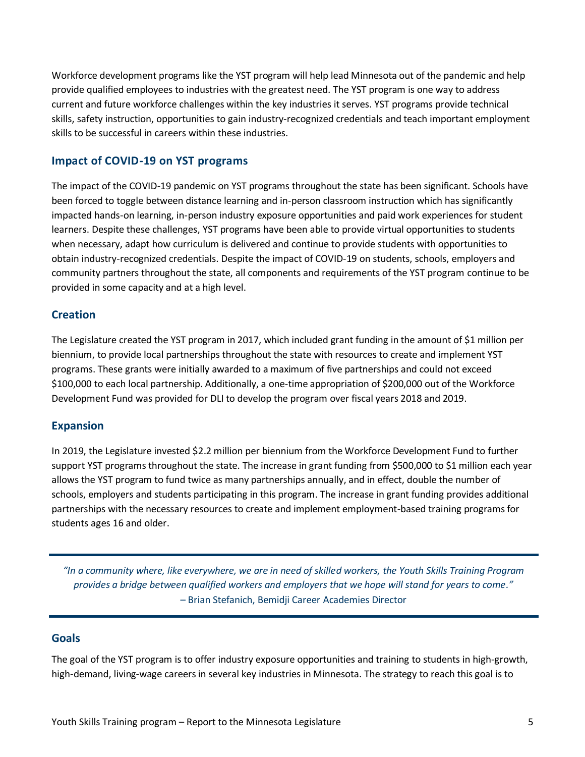Workforce development programs like the YST program will help lead Minnesota out of the pandemic and help provide qualified employees to industries with the greatest need. The YST program is one way to address current and future workforce challenges within the key industries it serves. YST programs provide technical skills, safety instruction, opportunities to gain industry-recognized credentials and teach important employment skills to be successful in careers within these industries.

#### <span id="page-4-0"></span>**Impact of COVID-19 on YST programs**

The impact of the COVID-19 pandemic on YST programs throughout the state has been significant. Schools have been forced to toggle between distance learning and in-person classroom instruction which has significantly impacted hands-on learning, in-person industry exposure opportunities and paid work experiences for student learners. Despite these challenges, YST programs have been able to provide virtual opportunities to students when necessary, adapt how curriculum is delivered and continue to provide students with opportunities to obtain industry-recognized credentials. Despite the impact of COVID-19 on students, schools, employers and community partners throughout the state, all components and requirements of the YST program continue to be provided in some capacity and at a high level.

#### <span id="page-4-1"></span>**Creation**

The Legislature created the YST program in 2017, which included grant funding in the amount of \$1 million per biennium, to provide local partnerships throughout the state with resources to create and implement YST programs. These grants were initially awarded to a maximum of five partnerships and could not exceed \$100,000 to each local partnership. Additionally, a one-time appropriation of \$200,000 out of the Workforce Development Fund was provided for DLI to develop the program over fiscal years 2018 and 2019.

#### <span id="page-4-2"></span>**Expansion**

In 2019, the Legislature invested \$2.2 million per biennium from the Workforce Development Fund to further support YST programs throughout the state. The increase in grant funding from \$500,000 to \$1 million each year allows the YST program to fund twice as many partnerships annually, and in effect, double the number of schools, employers and students participating in this program. The increase in grant funding provides additional partnerships with the necessary resources to create and implement employment-based training programs for students ages 16 and older.

*"In a community where, like everywhere, we are in need of skilled workers, the Youth Skills Training Program provides a bridge between qualified workers and employers that we hope will stand for years to come."*  – Brian Stefanich, Bemidji Career Academies Director

#### <span id="page-4-3"></span>**Goals**

The goal of the YST program is to offer industry exposure opportunities and training to students in high-growth, high-demand, living-wage careers in several key industries in Minnesota. The strategy to reach this goal is to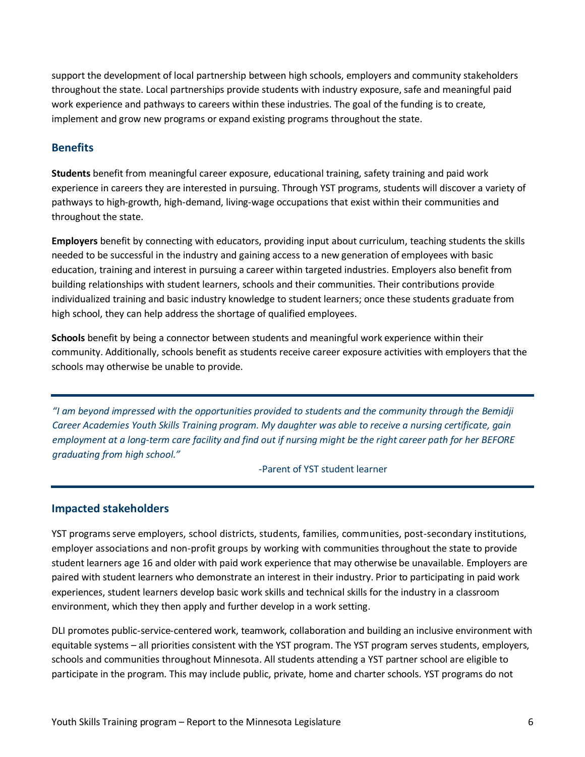support the development of local partnership between high schools, employers and community stakeholders throughout the state. Local partnerships provide students with industry exposure, safe and meaningful paid work experience and pathways to careers within these industries. The goal of the funding is to create, implement and grow new programs or expand existing programs throughout the state.

#### <span id="page-5-0"></span>**Benefits**

**Students** benefit from meaningful career exposure, educational training, safety training and paid work experience in careers they are interested in pursuing. Through YST programs, students will discover a variety of pathways to high-growth, high-demand, living-wage occupations that exist within their communities and throughout the state.

**Employers** benefit by connecting with educators, providing input about curriculum, teaching students the skills needed to be successful in the industry and gaining access to a new generation of employees with basic education, training and interest in pursuing a career within targeted industries. Employers also benefit from building relationships with student learners, schools and their communities. Their contributions provide individualized training and basic industry knowledge to student learners; once these students graduate from high school, they can help address the shortage of qualified employees.

**Schools** benefit by being a connector between students and meaningful work experience within their community. Additionally, schools benefit as students receive career exposure activities with employers that the schools may otherwise be unable to provide.

*"I am beyond impressed with the opportunities provided to students and the community through the Bemidji Career Academies Youth Skills Training program. My daughter was able to receive a nursing certificate, gain employment at a long-term care facility and find out if nursing might be the right career path for her BEFORE graduating from high school."*

-Parent of YST student learner

#### <span id="page-5-1"></span>**Impacted stakeholders**

YST programs serve employers, school districts, students, families, communities, post-secondary institutions, employer associations and non-profit groups by working with communities throughout the state to provide student learners age 16 and older with paid work experience that may otherwise be unavailable. Employers are paired with student learners who demonstrate an interest in their industry. Prior to participating in paid work experiences, student learners develop basic work skills and technical skills for the industry in a classroom environment, which they then apply and further develop in a work setting.

DLI promotes public-service-centered work, teamwork, collaboration and building an inclusive environment with equitable systems – all priorities consistent with the YST program. The YST program serves students, employers, schools and communities throughout Minnesota. All students attending a YST partner school are eligible to participate in the program. This may include public, private, home and charter schools. YST programs do not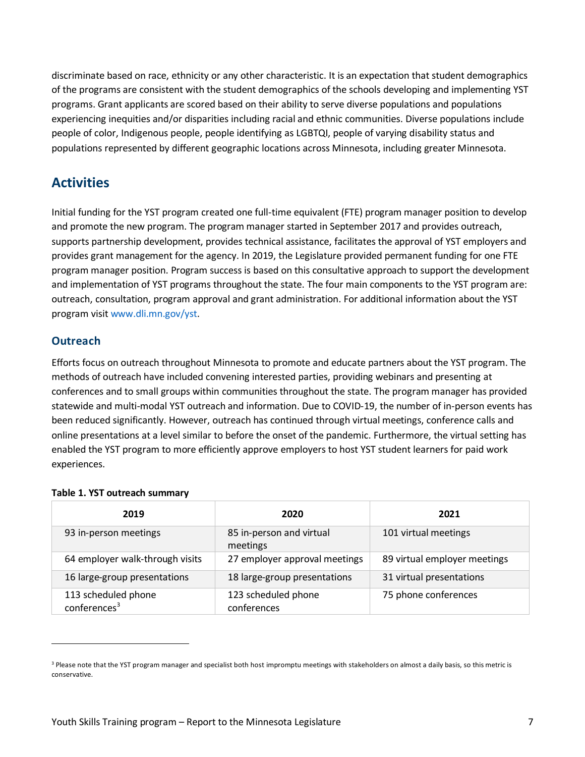discriminate based on race, ethnicity or any other characteristic. It is an expectation that student demographics of the programs are consistent with the student demographics of the schools developing and implementing YST programs. Grant applicants are scored based on their ability to serve diverse populations and populations experiencing inequities and/or disparities including racial and ethnic communities. Diverse populations include people of color, Indigenous people, people identifying as LGBTQI, people of varying disability status and populations represented by different geographic locations across Minnesota, including greater Minnesota.

### <span id="page-6-0"></span>**Activities**

Initial funding for the YST program created one full-time equivalent (FTE) program manager position to develop and promote the new program. The program manager started in September 2017 and provides outreach, supports partnership development, provides technical assistance, facilitates the approval of YST employers and provides grant management for the agency. In 2019, the Legislature provided permanent funding for one FTE program manager position. Program success is based on this consultative approach to support the development and implementation of YST programs throughout the state. The four main components to the YST program are: outreach, consultation, program approval and grant administration. For additional information about the YST program visi[t www.dli.mn.gov/yst.](http://www.dli.mn.gov/yst)

#### <span id="page-6-1"></span>**Outreach**

Efforts focus on outreach throughout Minnesota to promote and educate partners about the YST program. The methods of outreach have included convening interested parties, providing webinars and presenting at conferences and to small groups within communities throughout the state. The program manager has provided statewide and multi-modal YST outreach and information. Due to COVID-19, the number of in-person events has been reduced significantly. However, outreach has continued through virtual meetings, conference calls and online presentations at a level similar to before the onset of the pandemic. Furthermore, the virtual setting has enabled the YST program to more efficiently approve employers to host YST student learners for paid work experiences.

#### **Table 1. YST outreach summary**

| 2019                                            | 2020                                 | 2021                         |
|-------------------------------------------------|--------------------------------------|------------------------------|
| 93 in-person meetings                           | 85 in-person and virtual<br>meetings | 101 virtual meetings         |
| 64 employer walk-through visits                 | 27 employer approval meetings        | 89 virtual employer meetings |
| 16 large-group presentations                    | 18 large-group presentations         | 31 virtual presentations     |
| 113 scheduled phone<br>conferences <sup>3</sup> | 123 scheduled phone<br>conferences   | 75 phone conferences         |

<sup>&</sup>lt;sup>3</sup> Please note that the YST program manager and specialist both host impromptu meetings with stakeholders on almost a daily basis, so this metric is conservative.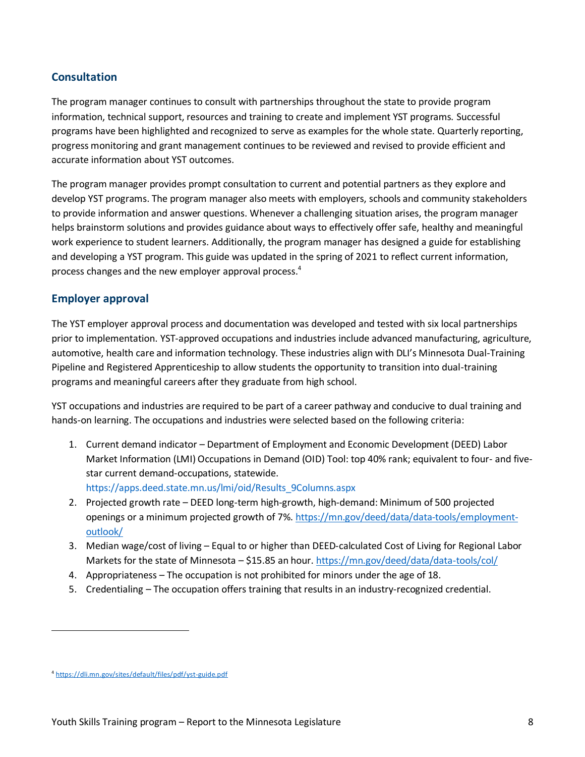#### <span id="page-7-0"></span>**Consultation**

The program manager continues to consult with partnerships throughout the state to provide program information, technical support, resources and training to create and implement YST programs. Successful programs have been highlighted and recognized to serve as examples for the whole state. Quarterly reporting, progress monitoring and grant management continues to be reviewed and revised to provide efficient and accurate information about YST outcomes.

The program manager provides prompt consultation to current and potential partners as they explore and develop YST programs. The program manager also meets with employers, schools and community stakeholders to provide information and answer questions. Whenever a challenging situation arises, the program manager helps brainstorm solutions and provides guidance about ways to effectively offer safe, healthy and meaningful work experience to student learners. Additionally, the program manager has designed a guide for establishing and developing a YST program. This guide was updated in the spring of 2021 to reflect current information, process changes and the new employer approval process.<sup>4</sup>

#### <span id="page-7-1"></span>**Employer approval**

The YST employer approval process and documentation was developed and tested with six local partnerships prior to implementation. YST-approved occupations and industries include advanced manufacturing, agriculture, automotive, health care and information technology. These industries align with DLI's Minnesota Dual-Training Pipeline and Registered Apprenticeship to allow students the opportunity to transition into dual-training programs and meaningful careers after they graduate from high school.

YST occupations and industries are required to be part of a career pathway and conducive to dual training and hands-on learning. The occupations and industries were selected based on the following criteria:

- 1. Current demand indicator Department of Employment and Economic Development (DEED) Labor Market Information (LMI) Occupations in Demand (OID) Tool: top 40% rank; equivalent to four- and fivestar current demand-occupations, statewide. [https://apps.deed.state.mn.us/lmi/oid/Results\\_9Columns.aspx](https://apps.deed.state.mn.us/lmi/oid/Results_9Columns.aspx)
- 2. Projected growth rate DEED long-term high-growth, high-demand: Minimum of 500 projected openings or a minimum projected growth of 7%. [https://mn.gov/deed/data/data-tools/employment](https://mn.gov/deed/data/data-tools/employment-outlook/)[outlook/](https://mn.gov/deed/data/data-tools/employment-outlook/)
- 3. Median wage/cost of living Equal to or higher than DEED-calculated Cost of Living for Regional Labor Markets for the state of Minnesota – \$15.85 an hour. <https://mn.gov/deed/data/data-tools/col/>
- 4. Appropriateness The occupation is not prohibited for minors under the age of 18.
- 5. Credentialing The occupation offers training that results in an industry-recognized credential.

<sup>4</sup> <https://dli.mn.gov/sites/default/files/pdf/yst-guide.pdf>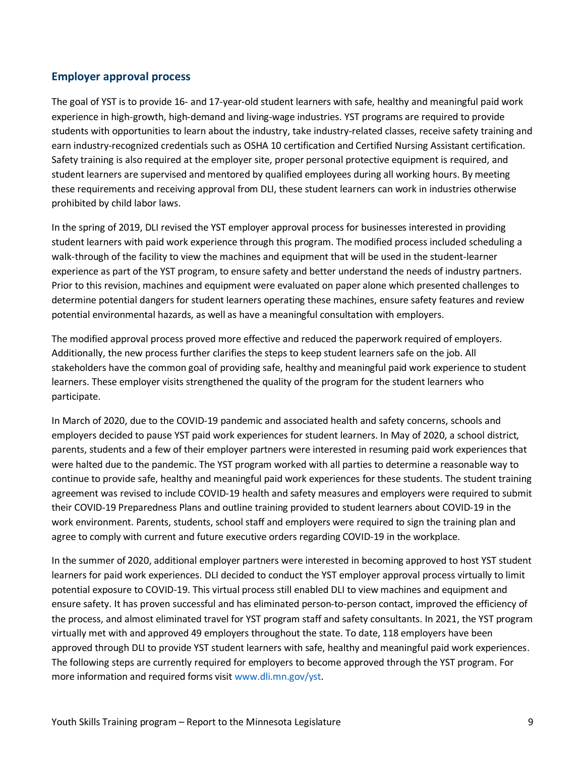#### <span id="page-8-0"></span>**Employer approval process**

The goal of YST is to provide 16- and 17-year-old student learners with safe, healthy and meaningful paid work experience in high-growth, high-demand and living-wage industries. YST programs are required to provide students with opportunities to learn about the industry, take industry-related classes, receive safety training and earn industry-recognized credentials such as OSHA 10 certification and Certified Nursing Assistant certification. Safety training is also required at the employer site, proper personal protective equipment is required, and student learners are supervised and mentored by qualified employees during all working hours. By meeting these requirements and receiving approval from DLI, these student learners can work in industries otherwise prohibited by child labor laws.

In the spring of 2019, DLI revised the YST employer approval process for businesses interested in providing student learners with paid work experience through this program. The modified process included scheduling a walk-through of the facility to view the machines and equipment that will be used in the student-learner experience as part of the YST program, to ensure safety and better understand the needs of industry partners. Prior to this revision, machines and equipment were evaluated on paper alone which presented challenges to determine potential dangers for student learners operating these machines, ensure safety features and review potential environmental hazards, as well as have a meaningful consultation with employers.

The modified approval process proved more effective and reduced the paperwork required of employers. Additionally, the new process further clarifies the steps to keep student learners safe on the job. All stakeholders have the common goal of providing safe, healthy and meaningful paid work experience to student learners. These employer visits strengthened the quality of the program for the student learners who participate.

In March of 2020, due to the COVID-19 pandemic and associated health and safety concerns, schools and employers decided to pause YST paid work experiences for student learners. In May of 2020, a school district, parents, students and a few of their employer partners were interested in resuming paid work experiences that were halted due to the pandemic. The YST program worked with all parties to determine a reasonable way to continue to provide safe, healthy and meaningful paid work experiences for these students. The student training agreement was revised to include COVID-19 health and safety measures and employers were required to submit their COVID-19 Preparedness Plans and outline training provided to student learners about COVID-19 in the work environment. Parents, students, school staff and employers were required to sign the training plan and agree to comply with current and future executive orders regarding COVID-19 in the workplace.

In the summer of 2020, additional employer partners were interested in becoming approved to host YST student learners for paid work experiences. DLI decided to conduct the YST employer approval process virtually to limit potential exposure to COVID-19. This virtual process still enabled DLI to view machines and equipment and ensure safety. It has proven successful and has eliminated person-to-person contact, improved the efficiency of the process, and almost eliminated travel for YST program staff and safety consultants. In 2021, the YST program virtually met with and approved 49 employers throughout the state. To date, 118 employers have been approved through DLI to provide YST student learners with safe, healthy and meaningful paid work experiences. The following steps are currently required for employers to become approved through the YST program. For more information and required forms visi[t www.dli.mn.gov/yst.](http://www.dli.mn.gov/yst)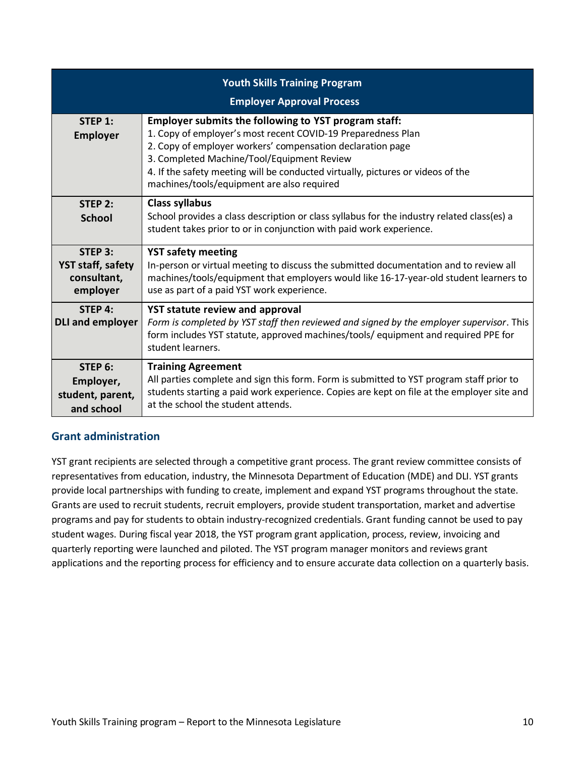|                                                                | <b>Youth Skills Training Program</b><br><b>Employer Approval Process</b>                                                                                                                                                                                                                                                                                          |
|----------------------------------------------------------------|-------------------------------------------------------------------------------------------------------------------------------------------------------------------------------------------------------------------------------------------------------------------------------------------------------------------------------------------------------------------|
| STEP $1$ :<br><b>Employer</b>                                  | Employer submits the following to YST program staff:<br>1. Copy of employer's most recent COVID-19 Preparedness Plan<br>2. Copy of employer workers' compensation declaration page<br>3. Completed Machine/Tool/Equipment Review<br>4. If the safety meeting will be conducted virtually, pictures or videos of the<br>machines/tools/equipment are also required |
| STEP 2:<br><b>School</b>                                       | <b>Class syllabus</b><br>School provides a class description or class syllabus for the industry related class(es) a<br>student takes prior to or in conjunction with paid work experience.                                                                                                                                                                        |
| STEP 3:<br><b>YST staff, safety</b><br>consultant,<br>employer | <b>YST safety meeting</b><br>In-person or virtual meeting to discuss the submitted documentation and to review all<br>machines/tools/equipment that employers would like 16-17-year-old student learners to<br>use as part of a paid YST work experience.                                                                                                         |
| STEP 4:<br><b>DLI and employer</b>                             | <b>YST statute review and approval</b><br>Form is completed by YST staff then reviewed and signed by the employer supervisor. This<br>form includes YST statute, approved machines/tools/ equipment and required PPE for<br>student learners.                                                                                                                     |
| STEP 6:<br>Employer,<br>student, parent,<br>and school         | <b>Training Agreement</b><br>All parties complete and sign this form. Form is submitted to YST program staff prior to<br>students starting a paid work experience. Copies are kept on file at the employer site and<br>at the school the student attends.                                                                                                         |

#### <span id="page-9-0"></span>**Grant administration**

YST grant recipients are selected through a competitive grant process. The grant review committee consists of representatives from education, industry, the Minnesota Department of Education (MDE) and DLI. YST grants provide local partnerships with funding to create, implement and expand YST programs throughout the state. Grants are used to recruit students, recruit employers, provide student transportation, market and advertise programs and pay for students to obtain industry-recognized credentials. Grant funding cannot be used to pay student wages. During fiscal year 2018, the YST program grant application, process, review, invoicing and quarterly reporting were launched and piloted. The YST program manager monitors and reviews grant applications and the reporting process for efficiency and to ensure accurate data collection on a quarterly basis.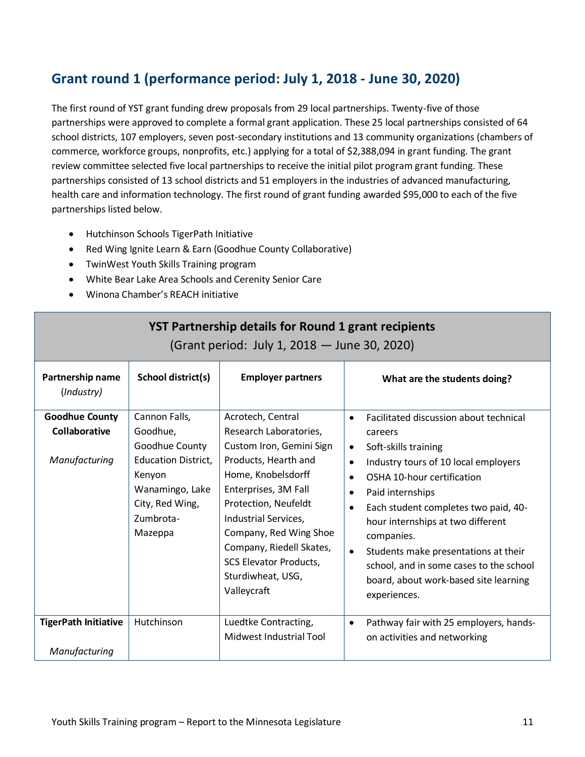## <span id="page-10-0"></span>**Grant round 1 (performance period: July 1, 2018 - June 30, 2020)**

The first round of YST grant funding drew proposals from 29 local partnerships. Twenty-five of those partnerships were approved to complete a formal grant application. These 25 local partnerships consisted of 64 school districts, 107 employers, seven post-secondary institutions and 13 community organizations (chambers of commerce, workforce groups, nonprofits, etc.) applying for a total of \$2,388,094 in grant funding. The grant review committee selected five local partnerships to receive the initial pilot program grant funding. These partnerships consisted of 13 school districts and 51 employers in the industries of advanced manufacturing, health care and information technology. The first round of grant funding awarded \$95,000 to each of the five partnerships listed below.

- Hutchinson Schools TigerPath Initiative
- Red Wing Ignite Learn & Earn (Goodhue County Collaborative)
- TwinWest Youth Skills Training program
- White Bear Lake Area Schools and Cerenity Senior Care
- Winona Chamber's REACH initiative

| YST Partnership details for Round 1 grant recipients<br>(Grant period: July 1, 2018 – June 30, 2020) |                                                                                                                                                   |                                                                                                                                                                                                                                                                                                                          |                                                                                                                                                                                                                                                                                                                                                                                                                                                                                                       |
|------------------------------------------------------------------------------------------------------|---------------------------------------------------------------------------------------------------------------------------------------------------|--------------------------------------------------------------------------------------------------------------------------------------------------------------------------------------------------------------------------------------------------------------------------------------------------------------------------|-------------------------------------------------------------------------------------------------------------------------------------------------------------------------------------------------------------------------------------------------------------------------------------------------------------------------------------------------------------------------------------------------------------------------------------------------------------------------------------------------------|
| Partnership name<br>(Industry)                                                                       | School district(s)                                                                                                                                | <b>Employer partners</b>                                                                                                                                                                                                                                                                                                 | What are the students doing?                                                                                                                                                                                                                                                                                                                                                                                                                                                                          |
| <b>Goodhue County</b><br>Collaborative<br>Manufacturing                                              | Cannon Falls,<br>Goodhue,<br>Goodhue County<br><b>Education District,</b><br>Kenyon<br>Wanamingo, Lake<br>City, Red Wing,<br>Zumbrota-<br>Mazeppa | Acrotech, Central<br>Research Laboratories,<br>Custom Iron, Gemini Sign<br>Products, Hearth and<br>Home, Knobelsdorff<br>Enterprises, 3M Fall<br>Protection, Neufeldt<br>Industrial Services,<br>Company, Red Wing Shoe<br>Company, Riedell Skates,<br><b>SCS Elevator Products,</b><br>Sturdiwheat, USG,<br>Valleycraft | Facilitated discussion about technical<br>$\bullet$<br>careers<br>Soft-skills training<br>$\bullet$<br>Industry tours of 10 local employers<br>$\bullet$<br>OSHA 10-hour certification<br>$\bullet$<br>Paid internships<br>$\bullet$<br>Each student completes two paid, 40-<br>$\bullet$<br>hour internships at two different<br>companies.<br>Students make presentations at their<br>$\bullet$<br>school, and in some cases to the school<br>board, about work-based site learning<br>experiences. |
| <b>TigerPath Initiative</b><br>Manufacturing                                                         | Hutchinson                                                                                                                                        | Luedtke Contracting,<br>Midwest Industrial Tool                                                                                                                                                                                                                                                                          | Pathway fair with 25 employers, hands-<br>$\bullet$<br>on activities and networking                                                                                                                                                                                                                                                                                                                                                                                                                   |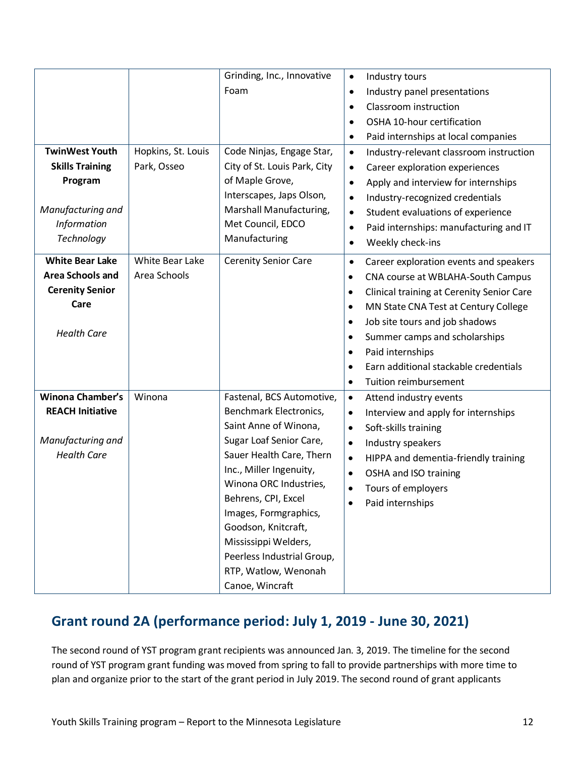|                         |                    | Grinding, Inc., Innovative   | Industry tours<br>$\bullet$                                   |
|-------------------------|--------------------|------------------------------|---------------------------------------------------------------|
|                         |                    | Foam                         | Industry panel presentations<br>$\bullet$                     |
|                         |                    |                              | Classroom instruction<br>$\bullet$                            |
|                         |                    |                              | OSHA 10-hour certification<br>$\bullet$                       |
|                         |                    |                              | Paid internships at local companies<br>$\bullet$              |
| <b>TwinWest Youth</b>   | Hopkins, St. Louis | Code Ninjas, Engage Star,    | Industry-relevant classroom instruction<br>$\bullet$          |
| <b>Skills Training</b>  | Park, Osseo        | City of St. Louis Park, City | Career exploration experiences<br>$\bullet$                   |
| Program                 |                    | of Maple Grove,              | Apply and interview for internships<br>$\bullet$              |
|                         |                    | Interscapes, Japs Olson,     | Industry-recognized credentials<br>$\bullet$                  |
| Manufacturing and       |                    | Marshall Manufacturing,      | Student evaluations of experience<br>$\bullet$                |
| Information             |                    | Met Council, EDCO            | Paid internships: manufacturing and IT<br>$\bullet$           |
| Technology              |                    | Manufacturing                | Weekly check-ins<br>$\bullet$                                 |
| <b>White Bear Lake</b>  | White Bear Lake    | <b>Cerenity Senior Care</b>  | Career exploration events and speakers<br>$\bullet$           |
| <b>Area Schools and</b> | Area Schools       |                              | CNA course at WBLAHA-South Campus<br>$\bullet$                |
| <b>Cerenity Senior</b>  |                    |                              | <b>Clinical training at Cerenity Senior Care</b><br>$\bullet$ |
| Care                    |                    |                              | MN State CNA Test at Century College<br>$\bullet$             |
|                         |                    |                              | Job site tours and job shadows<br>$\bullet$                   |
| <b>Health Care</b>      |                    |                              | Summer camps and scholarships<br>$\bullet$                    |
|                         |                    |                              | Paid internships<br>$\bullet$                                 |
|                         |                    |                              | Earn additional stackable credentials<br>$\bullet$            |
|                         |                    |                              | Tuition reimbursement<br>$\bullet$                            |
| Winona Chamber's        | Winona             | Fastenal, BCS Automotive,    | Attend industry events<br>$\bullet$                           |
| <b>REACH Initiative</b> |                    | Benchmark Electronics,       | Interview and apply for internships<br>$\bullet$              |
|                         |                    | Saint Anne of Winona,        | Soft-skills training<br>$\bullet$                             |
| Manufacturing and       |                    | Sugar Loaf Senior Care,      | Industry speakers<br>$\bullet$                                |
| <b>Health Care</b>      |                    | Sauer Health Care, Thern     | HIPPA and dementia-friendly training<br>$\bullet$             |
|                         |                    | Inc., Miller Ingenuity,      | OSHA and ISO training<br>$\bullet$                            |
|                         |                    | Winona ORC Industries,       | Tours of employers<br>$\bullet$                               |
|                         |                    | Behrens, CPI, Excel          | Paid internships                                              |
|                         |                    | Images, Formgraphics,        |                                                               |
|                         |                    | Goodson, Knitcraft,          |                                                               |
|                         |                    | Mississippi Welders,         |                                                               |
|                         |                    | Peerless Industrial Group,   |                                                               |
|                         |                    | RTP, Watlow, Wenonah         |                                                               |
|                         |                    | Canoe, Wincraft              |                                                               |

### <span id="page-11-0"></span>**Grant round 2A (performance period: July 1, 2019 - June 30, 2021)**

The second round of YST program grant recipients was announced Jan. 3, 2019. The timeline for the second round of YST program grant funding was moved from spring to fall to provide partnerships with more time to plan and organize prior to the start of the grant period in July 2019. The second round of grant applicants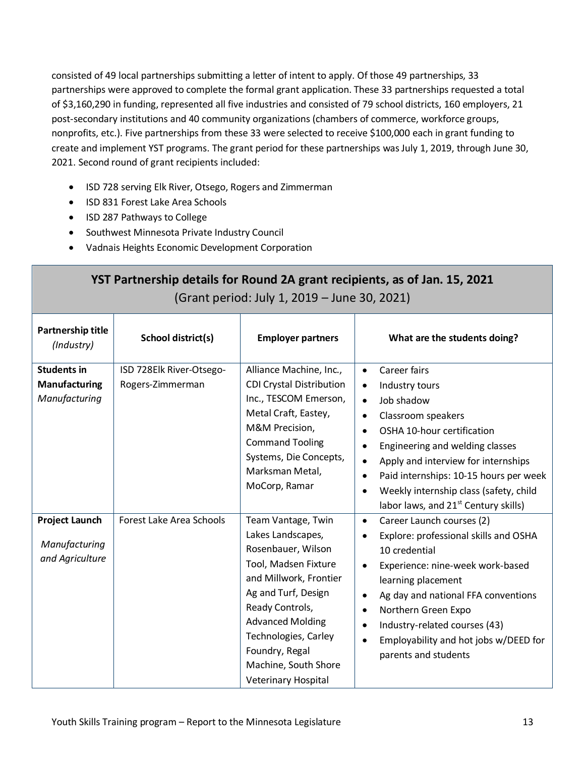consisted of 49 local partnerships submitting a letter of intent to apply. Of those 49 partnerships, 33 partnerships were approved to complete the formal grant application. These 33 partnerships requested a total of \$3,160,290 in funding, represented all five industries and consisted of 79 school districts, 160 employers, 21 post-secondary institutions and 40 community organizations (chambers of commerce, workforce groups, nonprofits, etc.). Five partnerships from these 33 were selected to receive \$100,000 each in grant funding to create and implement YST programs. The grant period for these partnerships wasJuly 1, 2019, through June 30, 2021. Second round of grant recipients included:

- ISD 728 serving Elk River, Otsego, Rogers and Zimmerman
- ISD 831 Forest Lake Area Schools
- ISD 287 Pathways to College
- Southwest Minnesota Private Industry Council
- Vadnais Heights Economic Development Corporation

|                                                             |                                              | (Grant period: July 1, 2019 - June 30, 2021)                                                                                                                                                                                                                                  | YST Partnership details for Round 2A grant recipients, as of Jan. 15, 2021                                                                                                                                                                                                                                                                                                                       |
|-------------------------------------------------------------|----------------------------------------------|-------------------------------------------------------------------------------------------------------------------------------------------------------------------------------------------------------------------------------------------------------------------------------|--------------------------------------------------------------------------------------------------------------------------------------------------------------------------------------------------------------------------------------------------------------------------------------------------------------------------------------------------------------------------------------------------|
| Partnership title<br>(Industry)                             | School district(s)                           | <b>Employer partners</b>                                                                                                                                                                                                                                                      | What are the students doing?                                                                                                                                                                                                                                                                                                                                                                     |
| <b>Students in</b><br><b>Manufacturing</b><br>Manufacturing | ISD 728Elk River-Otsego-<br>Rogers-Zimmerman | Alliance Machine, Inc.,<br><b>CDI Crystal Distribution</b><br>Inc., TESCOM Emerson,<br>Metal Craft, Eastey,<br>M&M Precision,<br><b>Command Tooling</b><br>Systems, Die Concepts,<br>Marksman Metal,<br>MoCorp, Ramar                                                         | Career fairs<br>$\bullet$<br>Industry tours<br>$\bullet$<br>Job shadow<br>$\bullet$<br>Classroom speakers<br>OSHA 10-hour certification<br>$\bullet$<br>Engineering and welding classes<br>Apply and interview for internships<br>Paid internships: 10-15 hours per week<br>$\bullet$<br>Weekly internship class (safety, child<br>$\bullet$<br>labor laws, and 21 <sup>st</sup> Century skills) |
| <b>Project Launch</b><br>Manufacturing<br>and Agriculture   | Forest Lake Area Schools                     | Team Vantage, Twin<br>Lakes Landscapes,<br>Rosenbauer, Wilson<br>Tool, Madsen Fixture<br>and Millwork, Frontier<br>Ag and Turf, Design<br>Ready Controls,<br><b>Advanced Molding</b><br>Technologies, Carley<br>Foundry, Regal<br>Machine, South Shore<br>Veterinary Hospital | Career Launch courses (2)<br>$\bullet$<br>Explore: professional skills and OSHA<br>$\bullet$<br>10 credential<br>Experience: nine-week work-based<br>learning placement<br>Ag day and national FFA conventions<br>$\bullet$<br>Northern Green Expo<br>Industry-related courses (43)<br>Employability and hot jobs w/DEED for<br>$\bullet$<br>parents and students                                |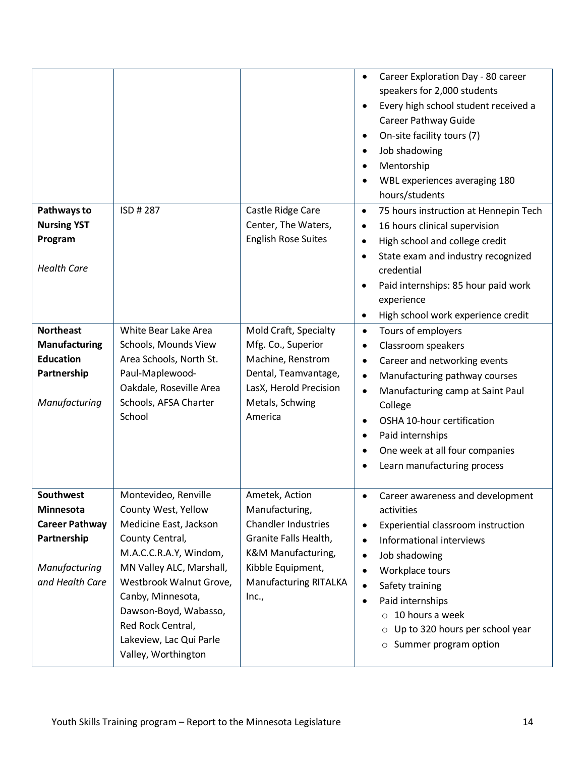|                                    |                                               |                                              | Career Exploration Day - 80 career<br>$\bullet$<br>speakers for 2,000 students<br>Every high school student received a<br>$\bullet$<br>Career Pathway Guide<br>On-site facility tours (7)<br>$\bullet$<br>Job shadowing<br>$\bullet$<br>Mentorship<br>$\bullet$<br>WBL experiences averaging 180<br>$\bullet$<br>hours/students |
|------------------------------------|-----------------------------------------------|----------------------------------------------|---------------------------------------------------------------------------------------------------------------------------------------------------------------------------------------------------------------------------------------------------------------------------------------------------------------------------------|
| Pathways to                        | ISD # 287                                     | Castle Ridge Care                            | 75 hours instruction at Hennepin Tech<br>$\bullet$                                                                                                                                                                                                                                                                              |
| <b>Nursing YST</b>                 |                                               | Center, The Waters,                          | 16 hours clinical supervision<br>$\bullet$                                                                                                                                                                                                                                                                                      |
| Program                            |                                               | <b>English Rose Suites</b>                   | High school and college credit<br>$\bullet$                                                                                                                                                                                                                                                                                     |
| <b>Health Care</b>                 |                                               |                                              | State exam and industry recognized<br>$\bullet$<br>credential                                                                                                                                                                                                                                                                   |
|                                    |                                               |                                              | Paid internships: 85 hour paid work<br>٠                                                                                                                                                                                                                                                                                        |
|                                    |                                               |                                              | experience                                                                                                                                                                                                                                                                                                                      |
|                                    |                                               |                                              | High school work experience credit<br>$\bullet$                                                                                                                                                                                                                                                                                 |
| <b>Northeast</b>                   | White Bear Lake Area                          | Mold Craft, Specialty                        | Tours of employers<br>$\bullet$                                                                                                                                                                                                                                                                                                 |
| <b>Manufacturing</b>               | Schools, Mounds View                          | Mfg. Co., Superior                           | Classroom speakers<br>$\bullet$                                                                                                                                                                                                                                                                                                 |
| <b>Education</b><br>Partnership    | Area Schools, North St.<br>Paul-Maplewood-    | Machine, Renstrom<br>Dental, Teamvantage,    | Career and networking events<br>$\bullet$                                                                                                                                                                                                                                                                                       |
|                                    | Oakdale, Roseville Area                       | LasX, Herold Precision                       | Manufacturing pathway courses<br>$\bullet$                                                                                                                                                                                                                                                                                      |
| Manufacturing                      | Schools, AFSA Charter                         | Metals, Schwing                              | Manufacturing camp at Saint Paul<br>$\bullet$<br>College                                                                                                                                                                                                                                                                        |
|                                    | School                                        | America                                      | OSHA 10-hour certification<br>$\bullet$                                                                                                                                                                                                                                                                                         |
|                                    |                                               |                                              | Paid internships<br>$\bullet$                                                                                                                                                                                                                                                                                                   |
|                                    |                                               |                                              | One week at all four companies<br>$\bullet$                                                                                                                                                                                                                                                                                     |
|                                    |                                               |                                              | Learn manufacturing process<br>$\bullet$                                                                                                                                                                                                                                                                                        |
| <b>Southwest</b>                   | Montevideo, Renville                          | Ametek, Action                               | Career awareness and development                                                                                                                                                                                                                                                                                                |
| Minnesota<br><b>Career Pathway</b> | County West, Yellow<br>Medicine East, Jackson | Manufacturing,<br><b>Chandler Industries</b> | activities                                                                                                                                                                                                                                                                                                                      |
| Partnership                        | County Central,                               | Granite Falls Health,                        | Experiential classroom instruction<br>$\bullet$<br>Informational interviews<br>$\bullet$                                                                                                                                                                                                                                        |
|                                    | M.A.C.C.R.A.Y, Windom,                        | K&M Manufacturing,                           | Job shadowing<br>$\bullet$                                                                                                                                                                                                                                                                                                      |
| Manufacturing                      | MN Valley ALC, Marshall,                      | Kibble Equipment,                            | Workplace tours<br>$\bullet$                                                                                                                                                                                                                                                                                                    |
| and Health Care                    | Westbrook Walnut Grove,                       | Manufacturing RITALKA                        | Safety training<br>$\bullet$                                                                                                                                                                                                                                                                                                    |
|                                    | Canby, Minnesota,                             | Inc.,                                        | Paid internships<br>$\bullet$                                                                                                                                                                                                                                                                                                   |
|                                    | Dawson-Boyd, Wabasso,                         |                                              | 10 hours a week<br>$\circ$                                                                                                                                                                                                                                                                                                      |
|                                    | Red Rock Central,                             |                                              | Up to 320 hours per school year<br>$\circ$                                                                                                                                                                                                                                                                                      |
|                                    | Lakeview, Lac Qui Parle                       |                                              | Summer program option<br>$\circ$                                                                                                                                                                                                                                                                                                |
|                                    | Valley, Worthington                           |                                              |                                                                                                                                                                                                                                                                                                                                 |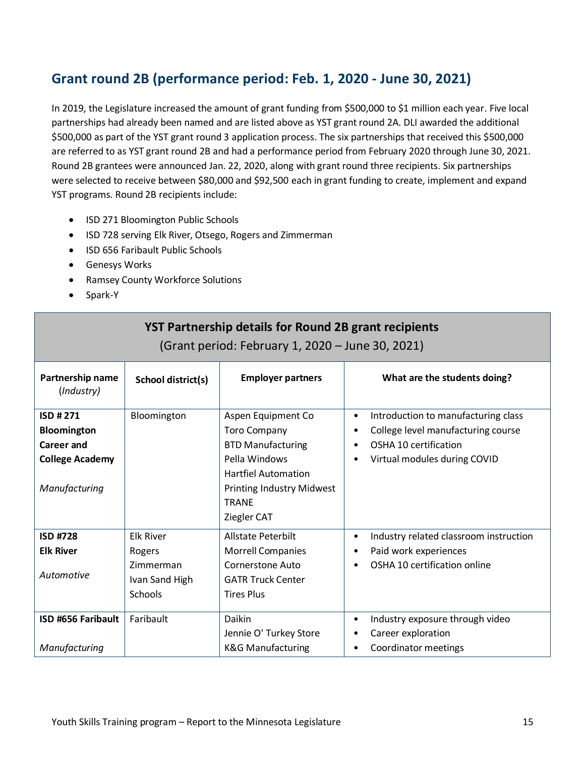### <span id="page-14-0"></span>**Grant round 2B (performance period: Feb. 1, 2020 - June 30, 2021)**

In 2019, the Legislature increased the amount of grant funding from \$500,000 to \$1 million each year. Five local partnerships had already been named and are listed above as YST grant round 2A. DLI awarded the additional \$500,000 as part of the YST grant round 3 application process. The six partnerships that received this \$500,000 are referred to as YST grant round 2B and had a performance period from February 2020 through June 30, 2021. Round 2B grantees were announced Jan. 22, 2020, along with grant round three recipients. Six partnerships were selected to receive between \$80,000 and \$92,500 each in grant funding to create, implement and expand YST programs. Round 2B recipients include:

- ISD 271 Bloomington Public Schools
- ISD 728 serving Elk River, Otsego, Rogers and Zimmerman
- ISD 656 Faribault Public Schools
- Genesys Works
- Ramsey County Workforce Solutions
- Spark-Y

| <b>YST Partnership details for Round 2B grant recipients</b><br>(Grant period: February 1, 2020 – June 30, 2021) |                                                                             |                                                                                                                                   |                                                                                                                                                                                        |
|------------------------------------------------------------------------------------------------------------------|-----------------------------------------------------------------------------|-----------------------------------------------------------------------------------------------------------------------------------|----------------------------------------------------------------------------------------------------------------------------------------------------------------------------------------|
| Partnership name<br>(Industry)                                                                                   | School district(s)                                                          | <b>Employer partners</b>                                                                                                          | What are the students doing?                                                                                                                                                           |
| ISD #271<br>Bloomington<br><b>Career and</b><br><b>College Academy</b>                                           | Bloomington                                                                 | Aspen Equipment Co<br><b>Toro Company</b><br><b>BTD Manufacturing</b><br>Pella Windows<br><b>Hartfiel Automation</b>              | Introduction to manufacturing class<br>$\bullet$<br>College level manufacturing course<br>$\bullet$<br>OSHA 10 certification<br>$\bullet$<br>Virtual modules during COVID<br>$\bullet$ |
| Manufacturing                                                                                                    |                                                                             | <b>Printing Industry Midwest</b><br><b>TRANE</b><br>Ziegler CAT                                                                   |                                                                                                                                                                                        |
| <b>ISD #728</b><br><b>Elk River</b><br>Automotive                                                                | <b>Elk River</b><br>Rogers<br>Zimmerman<br>Ivan Sand High<br><b>Schools</b> | <b>Allstate Peterbilt</b><br><b>Morrell Companies</b><br><b>Cornerstone Auto</b><br><b>GATR Truck Center</b><br><b>Tires Plus</b> | Industry related classroom instruction<br>$\bullet$<br>Paid work experiences<br>$\bullet$<br>OSHA 10 certification online<br>$\bullet$                                                 |
| ISD #656 Faribault<br>Manufacturing                                                                              | Faribault                                                                   | Daikin<br>Jennie O' Turkey Store<br><b>K&amp;G Manufacturing</b>                                                                  | Industry exposure through video<br>$\bullet$<br>Career exploration<br>$\bullet$<br>Coordinator meetings<br>$\bullet$                                                                   |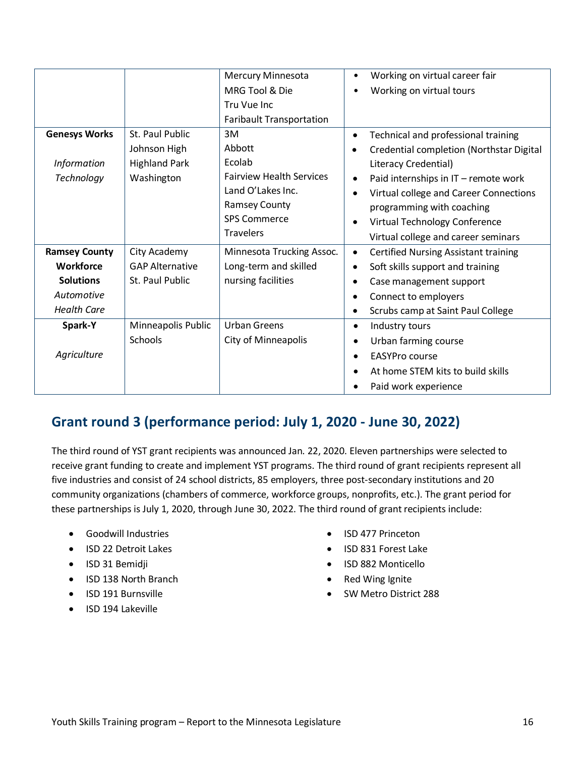|                      |                        | <b>Mercury Minnesota</b>        | Working on virtual career fair<br>$\bullet$              |
|----------------------|------------------------|---------------------------------|----------------------------------------------------------|
|                      |                        | MRG Tool & Die                  | Working on virtual tours<br>$\bullet$                    |
|                      |                        | Tru Vue Inc                     |                                                          |
|                      |                        | <b>Faribault Transportation</b> |                                                          |
| <b>Genesys Works</b> | St. Paul Public        | 3M                              | Technical and professional training<br>$\bullet$         |
|                      | Johnson High           | Abbott                          | Credential completion (Northstar Digital<br>$\bullet$    |
| <b>Information</b>   | <b>Highland Park</b>   | Ecolab                          | Literacy Credential)                                     |
| Technology           | Washington             | <b>Fairview Health Services</b> | Paid internships in IT - remote work<br>$\bullet$        |
|                      |                        | Land O'Lakes Inc.               | Virtual college and Career Connections<br>$\bullet$      |
|                      |                        | <b>Ramsey County</b>            | programming with coaching                                |
|                      |                        | <b>SPS Commerce</b>             | Virtual Technology Conference<br>$\bullet$               |
|                      |                        | <b>Travelers</b>                | Virtual college and career seminars                      |
| <b>Ramsey County</b> | City Academy           | Minnesota Trucking Assoc.       | <b>Certified Nursing Assistant training</b><br>$\bullet$ |
| <b>Workforce</b>     | <b>GAP Alternative</b> | Long-term and skilled           | Soft skills support and training<br>$\bullet$            |
| <b>Solutions</b>     | St. Paul Public        | nursing facilities              | Case management support<br>٠                             |
| Automotive           |                        |                                 | Connect to employers<br>$\bullet$                        |
| <b>Health Care</b>   |                        |                                 | Scrubs camp at Saint Paul College<br>$\bullet$           |
| Spark-Y              | Minneapolis Public     | <b>Urban Greens</b>             | Industry tours<br>$\bullet$                              |
|                      | Schools                | City of Minneapolis             | Urban farming course<br>$\bullet$                        |
| Agriculture          |                        |                                 | <b>EASYPro course</b><br>$\bullet$                       |
|                      |                        |                                 | At home STEM kits to build skills<br>$\bullet$           |
|                      |                        |                                 | Paid work experience<br>$\bullet$                        |

### <span id="page-15-0"></span>**Grant round 3 (performance period: July 1, 2020 - June 30, 2022)**

The third round of YST grant recipients was announced Jan. 22, 2020. Eleven partnerships were selected to receive grant funding to create and implement YST programs. The third round of grant recipients represent all five industries and consist of 24 school districts, 85 employers, three post-secondary institutions and 20 community organizations (chambers of commerce, workforce groups, nonprofits, etc.). The grant period for these partnerships is July 1, 2020, through June 30, 2022. The third round of grant recipients include:

- Goodwill Industries
- ISD 22 Detroit Lakes
- ISD 31 Bemidji
- ISD 138 North Branch
- ISD 191 Burnsville
- ISD 194 Lakeville
- ISD 477 Princeton
- ISD 831 Forest Lake
- ISD 882 Monticello
- Red Wing Ignite
- SW Metro District 288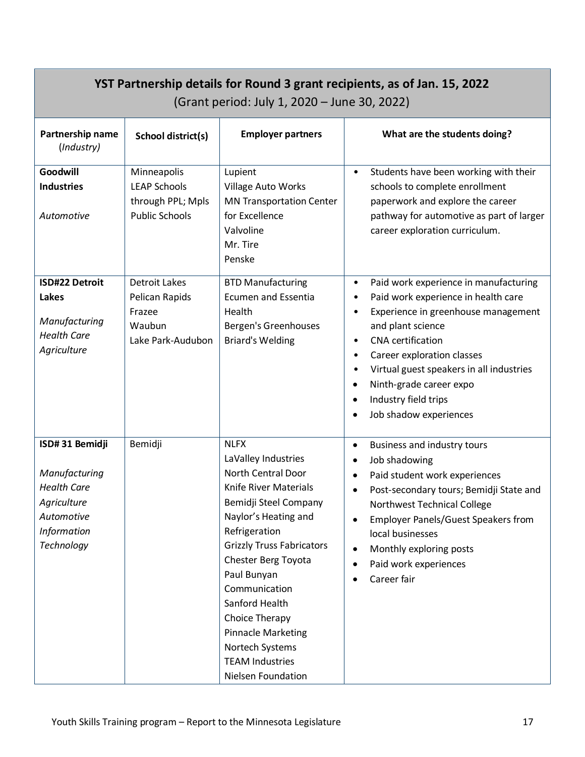| YST Partnership details for Round 3 grant recipients, as of Jan. 15, 2022<br>(Grant period: July 1, 2020 - June 30, 2022) |                                                                                  |                                                                                                                                                                                                                                                                                                                                                                                                  |                                                                                                                                                                                                                                                                                                                                                                                                                                          |
|---------------------------------------------------------------------------------------------------------------------------|----------------------------------------------------------------------------------|--------------------------------------------------------------------------------------------------------------------------------------------------------------------------------------------------------------------------------------------------------------------------------------------------------------------------------------------------------------------------------------------------|------------------------------------------------------------------------------------------------------------------------------------------------------------------------------------------------------------------------------------------------------------------------------------------------------------------------------------------------------------------------------------------------------------------------------------------|
| Partnership name<br>(Industry)                                                                                            | School district(s)                                                               | <b>Employer partners</b>                                                                                                                                                                                                                                                                                                                                                                         | What are the students doing?                                                                                                                                                                                                                                                                                                                                                                                                             |
| Goodwill<br><b>Industries</b><br>Automotive                                                                               | Minneapolis<br><b>LEAP Schools</b><br>through PPL; Mpls<br><b>Public Schools</b> | Lupient<br>Village Auto Works<br><b>MN Transportation Center</b><br>for Excellence<br>Valvoline<br>Mr. Tire<br>Penske                                                                                                                                                                                                                                                                            | Students have been working with their<br>$\bullet$<br>schools to complete enrollment<br>paperwork and explore the career<br>pathway for automotive as part of larger<br>career exploration curriculum.                                                                                                                                                                                                                                   |
| <b>ISD#22 Detroit</b><br><b>Lakes</b><br>Manufacturing<br><b>Health Care</b><br>Agriculture                               | <b>Detroit Lakes</b><br>Pelican Rapids<br>Frazee<br>Waubun<br>Lake Park-Audubon  | <b>BTD Manufacturing</b><br><b>Ecumen and Essentia</b><br>Health<br>Bergen's Greenhouses<br><b>Briard's Welding</b>                                                                                                                                                                                                                                                                              | Paid work experience in manufacturing<br>$\bullet$<br>Paid work experience in health care<br>$\bullet$<br>Experience in greenhouse management<br>$\bullet$<br>and plant science<br><b>CNA</b> certification<br>$\bullet$<br>Career exploration classes<br>$\bullet$<br>Virtual guest speakers in all industries<br>$\bullet$<br>Ninth-grade career expo<br>$\bullet$<br>Industry field trips<br>$\bullet$<br>Job shadow experiences<br>٠ |
| ISD#31 Bemidji<br>Manufacturing<br><b>Health Care</b><br>Agriculture<br>Automotive<br>Information<br>Technology           | Bemidji                                                                          | <b>NLFX</b><br>LaValley Industries<br>North Central Door<br>Knife River Materials<br>Bemidji Steel Company<br>Naylor's Heating and<br>Refrigeration<br><b>Grizzly Truss Fabricators</b><br><b>Chester Berg Toyota</b><br>Paul Bunyan<br>Communication<br>Sanford Health<br><b>Choice Therapy</b><br><b>Pinnacle Marketing</b><br>Nortech Systems<br><b>TEAM Industries</b><br>Nielsen Foundation | Business and industry tours<br>$\bullet$<br>Job shadowing<br>$\bullet$<br>Paid student work experiences<br>$\bullet$<br>Post-secondary tours; Bemidji State and<br>$\bullet$<br>Northwest Technical College<br><b>Employer Panels/Guest Speakers from</b><br>$\bullet$<br>local businesses<br>Monthly exploring posts<br>$\bullet$<br>Paid work experiences<br>$\bullet$<br>Career fair                                                  |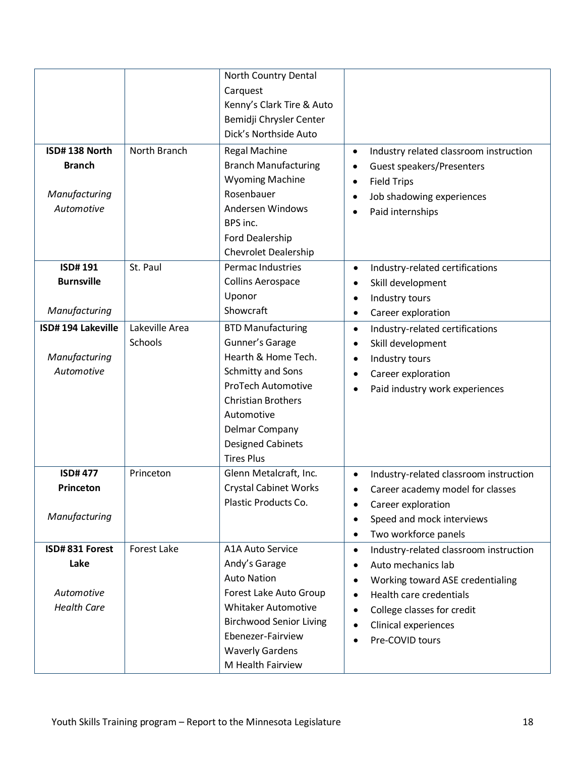| ISD#138 North<br><b>Branch</b><br>Manufacturing<br>Automotive | North Branch              | North Country Dental<br>Carquest<br>Kenny's Clark Tire & Auto<br>Bemidji Chrysler Center<br>Dick's Northside Auto<br><b>Regal Machine</b><br><b>Branch Manufacturing</b><br><b>Wyoming Machine</b><br>Rosenbauer<br>Andersen Windows<br>BPS inc.<br>Ford Dealership<br><b>Chevrolet Dealership</b> | Industry related classroom instruction<br>$\bullet$<br>Guest speakers/Presenters<br>$\bullet$<br><b>Field Trips</b><br>$\bullet$<br>Job shadowing experiences<br>$\bullet$<br>Paid internships<br>$\bullet$                                                                                     |
|---------------------------------------------------------------|---------------------------|----------------------------------------------------------------------------------------------------------------------------------------------------------------------------------------------------------------------------------------------------------------------------------------------------|-------------------------------------------------------------------------------------------------------------------------------------------------------------------------------------------------------------------------------------------------------------------------------------------------|
| <b>ISD#191</b><br><b>Burnsville</b><br>Manufacturing          | St. Paul                  | Permac Industries<br><b>Collins Aerospace</b><br>Uponor<br>Showcraft                                                                                                                                                                                                                               | Industry-related certifications<br>$\bullet$<br>Skill development<br>$\bullet$<br>Industry tours<br>$\bullet$<br>Career exploration<br>$\bullet$                                                                                                                                                |
| ISD#194 Lakeville<br>Manufacturing<br>Automotive              | Lakeville Area<br>Schools | <b>BTD Manufacturing</b><br>Gunner's Garage<br>Hearth & Home Tech.<br>Schmitty and Sons<br><b>ProTech Automotive</b><br><b>Christian Brothers</b><br>Automotive<br>Delmar Company<br><b>Designed Cabinets</b><br><b>Tires Plus</b>                                                                 | Industry-related certifications<br>$\bullet$<br>Skill development<br>$\bullet$<br>Industry tours<br>$\bullet$<br>Career exploration<br>$\bullet$<br>Paid industry work experiences<br>$\bullet$                                                                                                 |
| <b>ISD#477</b><br>Princeton<br>Manufacturing                  | Princeton                 | Glenn Metalcraft, Inc.<br><b>Crystal Cabinet Works</b><br>Plastic Products Co.                                                                                                                                                                                                                     | Industry-related classroom instruction<br>$\bullet$<br>Career academy model for classes<br>$\bullet$<br>Career exploration<br>$\bullet$<br>Speed and mock interviews<br>$\bullet$<br>Two workforce panels<br>$\bullet$                                                                          |
| ISD#831 Forest<br>Lake<br>Automotive<br><b>Health Care</b>    | <b>Forest Lake</b>        | <b>A1A Auto Service</b><br>Andy's Garage<br><b>Auto Nation</b><br>Forest Lake Auto Group<br><b>Whitaker Automotive</b><br><b>Birchwood Senior Living</b><br>Ebenezer-Fairview<br><b>Waverly Gardens</b><br>M Health Fairview                                                                       | Industry-related classroom instruction<br>$\bullet$<br>Auto mechanics lab<br>$\bullet$<br>Working toward ASE credentialing<br>$\bullet$<br>Health care credentials<br>$\bullet$<br>College classes for credit<br>$\bullet$<br>Clinical experiences<br>$\bullet$<br>Pre-COVID tours<br>$\bullet$ |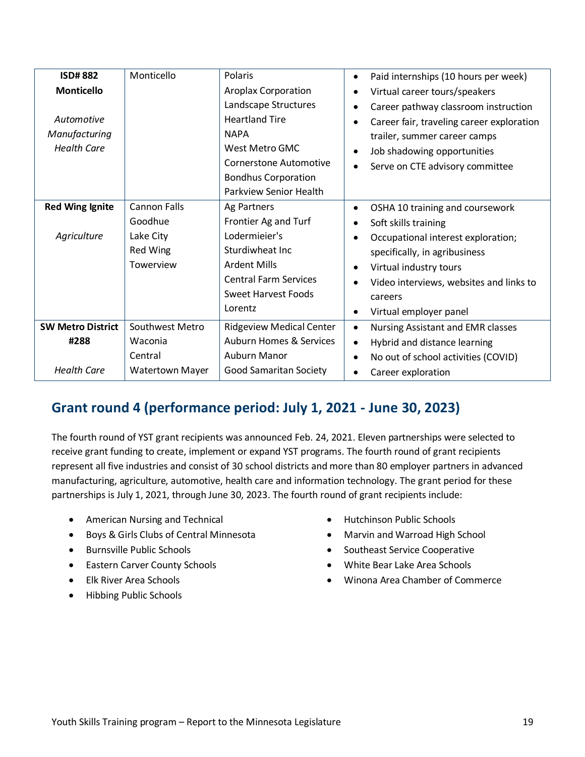| <b>Health Care</b><br>West Metro GMC<br>Job shadowing opportunities<br>$\bullet$<br><b>Cornerstone Automotive</b>                                                                                                                                                                                                                                                                                                  | Virtual career tours/speakers<br>Career pathway classroom instruction<br>Career fair, traveling career exploration<br>trailer, summer career camps |
|--------------------------------------------------------------------------------------------------------------------------------------------------------------------------------------------------------------------------------------------------------------------------------------------------------------------------------------------------------------------------------------------------------------------|----------------------------------------------------------------------------------------------------------------------------------------------------|
| Serve on CTE advisory committee<br>$\bullet$<br><b>Bondhus Corporation</b><br><b>Parkview Senior Health</b>                                                                                                                                                                                                                                                                                                        |                                                                                                                                                    |
| <b>Cannon Falls</b><br><b>Red Wing Ignite</b><br>Ag Partners<br>OSHA 10 training and coursework<br>$\bullet$<br>Goodhue<br>Frontier Ag and Turf<br>Soft skills training<br>$\bullet$                                                                                                                                                                                                                               |                                                                                                                                                    |
| Lodermieier's<br>Agriculture<br>Lake City<br>Occupational interest exploration;<br>$\bullet$<br>Red Wing<br>Sturdiwheat Inc<br>specifically, in agribusiness<br>Towerview<br><b>Ardent Mills</b><br>Virtual industry tours<br>٠<br><b>Central Farm Services</b><br>Video interviews, websites and links to<br>$\bullet$<br><b>Sweet Harvest Foods</b><br>careers<br>Lorentz<br>Virtual employer panel<br>$\bullet$ |                                                                                                                                                    |
| Southwest Metro<br><b>SW Metro District</b><br><b>Ridgeview Medical Center</b><br><b>Nursing Assistant and EMR classes</b><br>$\bullet$                                                                                                                                                                                                                                                                            |                                                                                                                                                    |
| <b>Auburn Homes &amp; Services</b><br>#288<br>Waconia<br>Hybrid and distance learning<br>$\bullet$<br>Auburn Manor<br>Central<br>No out of school activities (COVID)<br>$\bullet$<br><b>Health Care</b><br><b>Good Samaritan Society</b><br><b>Watertown Mayer</b><br>Career exploration<br>$\bullet$                                                                                                              |                                                                                                                                                    |

### <span id="page-18-0"></span>**Grant round 4 (performance period: July 1, 2021 - June 30, 2023)**

The fourth round of YST grant recipients was announced Feb. 24, 2021. Eleven partnerships were selected to receive grant funding to create, implement or expand YST programs. The fourth round of grant recipients represent all five industries and consist of 30 school districts and more than 80 employer partners in advanced manufacturing, agriculture, automotive, health care and information technology. The grant period for these partnerships is July 1, 2021, through June 30, 2023. The fourth round of grant recipients include:

- American Nursing and Technical
- Boys & Girls Clubs of Central Minnesota
- Burnsville Public Schools
- Eastern Carver County Schools
- Elk River Area Schools
- Hibbing Public Schools
- Hutchinson Public Schools
- Marvin and Warroad High School
- Southeast Service Cooperative
- White Bear Lake Area Schools
- Winona Area Chamber of Commerce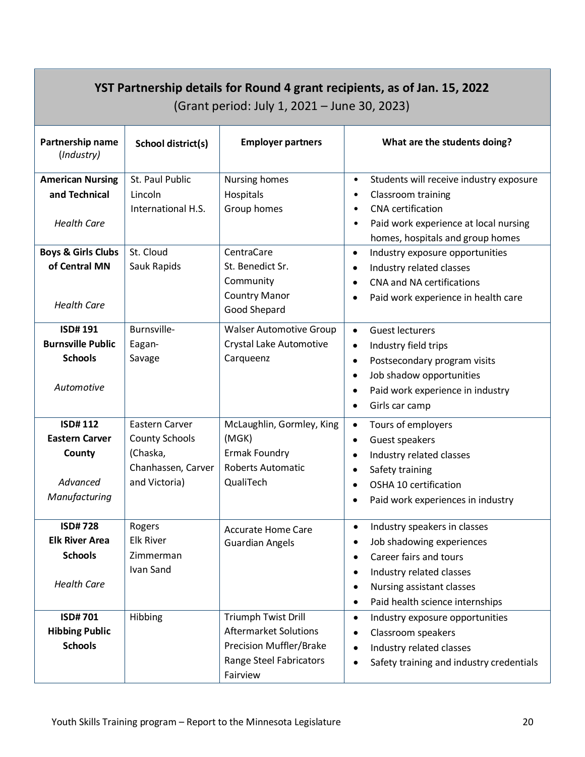| YST Partnership details for Round 4 grant recipients, as of Jan. 15, 2022<br>(Grant period: July 1, 2021 – June 30, 2023) |                                                                                            |                                                                                                                              |                                                                                                                                                                                                                                                               |  |  |
|---------------------------------------------------------------------------------------------------------------------------|--------------------------------------------------------------------------------------------|------------------------------------------------------------------------------------------------------------------------------|---------------------------------------------------------------------------------------------------------------------------------------------------------------------------------------------------------------------------------------------------------------|--|--|
| Partnership name<br>(Industry)                                                                                            | School district(s)                                                                         | <b>Employer partners</b>                                                                                                     | What are the students doing?                                                                                                                                                                                                                                  |  |  |
| <b>American Nursing</b><br>and Technical<br><b>Health Care</b>                                                            | St. Paul Public<br>Lincoln<br>International H.S.                                           | Nursing homes<br>Hospitals<br>Group homes                                                                                    | Students will receive industry exposure<br>$\bullet$<br>Classroom training<br>$\bullet$<br><b>CNA</b> certification<br>$\bullet$<br>Paid work experience at local nursing<br>$\bullet$<br>homes, hospitals and group homes                                    |  |  |
| <b>Boys &amp; Girls Clubs</b><br>of Central MN<br><b>Health Care</b>                                                      | St. Cloud<br>Sauk Rapids                                                                   | CentraCare<br>St. Benedict Sr.<br>Community<br><b>Country Manor</b><br>Good Shepard                                          | Industry exposure opportunities<br>$\bullet$<br>Industry related classes<br>$\bullet$<br><b>CNA and NA certifications</b><br>$\bullet$<br>Paid work experience in health care<br>$\bullet$                                                                    |  |  |
| <b>ISD#191</b><br><b>Burnsville Public</b><br><b>Schools</b><br>Automotive                                                | Burnsville-<br>Eagan-<br>Savage                                                            | <b>Walser Automotive Group</b><br>Crystal Lake Automotive<br>Carqueenz                                                       | <b>Guest lecturers</b><br>$\bullet$<br>Industry field trips<br>$\bullet$<br>Postsecondary program visits<br>$\bullet$<br>Job shadow opportunities<br>$\bullet$<br>Paid work experience in industry<br>$\bullet$<br>Girls car camp<br>$\bullet$                |  |  |
| <b>ISD#112</b><br><b>Eastern Carver</b><br>County<br>Advanced<br>Manufacturing                                            | Eastern Carver<br><b>County Schools</b><br>(Chaska,<br>Chanhassen, Carver<br>and Victoria) | McLaughlin, Gormley, King<br>(MGK)<br>Ermak Foundry<br><b>Roberts Automatic</b><br>QualiTech                                 | Tours of employers<br>$\bullet$<br>Guest speakers<br>$\bullet$<br>Industry related classes<br>$\bullet$<br>Safety training<br>$\bullet$<br>OSHA 10 certification<br>$\bullet$<br>Paid work experiences in industry                                            |  |  |
| <b>ISD#728</b><br><b>Elk River Area</b><br><b>Schools</b><br><b>Health Care</b>                                           | Rogers<br><b>Elk River</b><br>Zimmerman<br>Ivan Sand                                       | <b>Accurate Home Care</b><br><b>Guardian Angels</b>                                                                          | Industry speakers in classes<br>$\bullet$<br>Job shadowing experiences<br>$\bullet$<br>Career fairs and tours<br>$\bullet$<br>Industry related classes<br>$\bullet$<br>Nursing assistant classes<br>$\bullet$<br>Paid health science internships<br>$\bullet$ |  |  |
| <b>ISD#701</b><br><b>Hibbing Public</b><br><b>Schools</b>                                                                 | Hibbing                                                                                    | Triumph Twist Drill<br><b>Aftermarket Solutions</b><br><b>Precision Muffler/Brake</b><br>Range Steel Fabricators<br>Fairview | Industry exposure opportunities<br>$\bullet$<br>Classroom speakers<br>$\bullet$<br>Industry related classes<br>$\bullet$<br>Safety training and industry credentials<br>٠                                                                                     |  |  |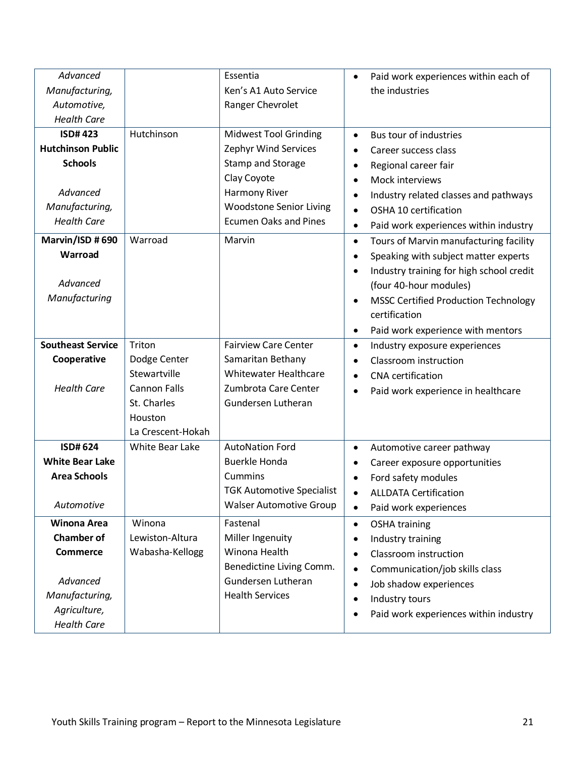| Advanced                 |                        | Essentia                         | Paid work experiences within each of<br>$\bullet$        |
|--------------------------|------------------------|----------------------------------|----------------------------------------------------------|
| Manufacturing,           |                        | Ken's A1 Auto Service            | the industries                                           |
| Automotive,              |                        | Ranger Chevrolet                 |                                                          |
| <b>Health Care</b>       |                        |                                  |                                                          |
| <b>ISD#423</b>           | Hutchinson             | <b>Midwest Tool Grinding</b>     | Bus tour of industries<br>$\bullet$                      |
| <b>Hutchinson Public</b> |                        | Zephyr Wind Services             | Career success class<br>$\bullet$                        |
| <b>Schools</b>           |                        | <b>Stamp and Storage</b>         | Regional career fair<br>$\bullet$                        |
|                          |                        | Clay Coyote                      | Mock interviews<br>$\bullet$                             |
| Advanced                 |                        | <b>Harmony River</b>             | Industry related classes and pathways<br>$\bullet$       |
| Manufacturing,           |                        | <b>Woodstone Senior Living</b>   | OSHA 10 certification<br>$\bullet$                       |
| <b>Health Care</b>       |                        | <b>Ecumen Oaks and Pines</b>     | Paid work experiences within industry<br>$\bullet$       |
| Marvin/ISD #690          | Warroad                | Marvin                           | Tours of Marvin manufacturing facility<br>$\bullet$      |
| Warroad                  |                        |                                  | Speaking with subject matter experts<br>$\bullet$        |
|                          |                        |                                  | Industry training for high school credit<br>$\bullet$    |
| Advanced                 |                        |                                  | (four 40-hour modules)                                   |
| Manufacturing            |                        |                                  | <b>MSSC Certified Production Technology</b><br>$\bullet$ |
|                          |                        |                                  | certification                                            |
|                          |                        |                                  | Paid work experience with mentors<br>$\bullet$           |
| <b>Southeast Service</b> | Triton                 | <b>Fairview Care Center</b>      | Industry exposure experiences<br>$\bullet$               |
| Cooperative              | Dodge Center           | Samaritan Bethany                | Classroom instruction<br>$\bullet$                       |
|                          | Stewartville           | Whitewater Healthcare            | CNA certification<br>$\bullet$                           |
| <b>Health Care</b>       | <b>Cannon Falls</b>    | Zumbrota Care Center             | Paid work experience in healthcare<br>$\bullet$          |
|                          | St. Charles            | Gundersen Lutheran               |                                                          |
|                          | Houston                |                                  |                                                          |
|                          | La Crescent-Hokah      |                                  |                                                          |
| <b>ISD#624</b>           | <b>White Bear Lake</b> | <b>AutoNation Ford</b>           | Automotive career pathway<br>$\bullet$                   |
| <b>White Bear Lake</b>   |                        | <b>Buerkle Honda</b>             | Career exposure opportunities<br>$\bullet$               |
| <b>Area Schools</b>      |                        | Cummins                          | Ford safety modules<br>$\bullet$                         |
|                          |                        | <b>TGK Automotive Specialist</b> | <b>ALLDATA Certification</b><br>$\bullet$                |
| Automotive               |                        | <b>Walser Automotive Group</b>   | Paid work experiences<br>$\bullet$                       |
| <b>Winona Area</b>       | Winona                 | Fastenal                         | <b>OSHA training</b><br>$\bullet$                        |
| <b>Chamber of</b>        | Lewiston-Altura        | Miller Ingenuity                 | Industry training<br>$\bullet$                           |
| <b>Commerce</b>          | Wabasha-Kellogg        | Winona Health                    | Classroom instruction<br>$\bullet$                       |
|                          |                        | Benedictine Living Comm.         | Communication/job skills class<br>$\bullet$              |
| Advanced                 |                        | Gundersen Lutheran               | Job shadow experiences<br>$\bullet$                      |
| Manufacturing,           |                        | <b>Health Services</b>           | Industry tours<br>$\bullet$                              |
| Agriculture,             |                        |                                  | Paid work experiences within industry<br>$\bullet$       |
| <b>Health Care</b>       |                        |                                  |                                                          |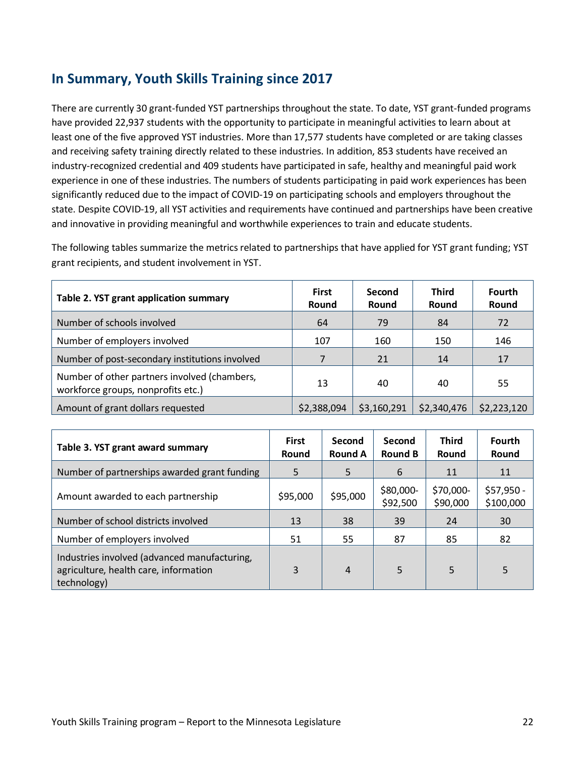### <span id="page-21-0"></span>**In Summary, Youth Skills Training since 2017**

There are currently 30 grant-funded YST partnerships throughout the state. To date, YST grant-funded programs have provided 22,937 students with the opportunity to participate in meaningful activities to learn about at least one of the five approved YST industries. More than 17,577 students have completed or are taking classes and receiving safety training directly related to these industries. In addition, 853 students have received an industry-recognized credential and 409 students have participated in safe, healthy and meaningful paid work experience in one of these industries. The numbers of students participating in paid work experiences has been significantly reduced due to the impact of COVID-19 on participating schools and employers throughout the state. Despite COVID-19, all YST activities and requirements have continued and partnerships have been creative and innovative in providing meaningful and worthwhile experiences to train and educate students.

The following tables summarize the metrics related to partnerships that have applied for YST grant funding; YST grant recipients, and student involvement in YST.

| Table 2. YST grant application summary                                             | <b>First</b><br>Round | Second<br>Round | <b>Third</b><br>Round | <b>Fourth</b><br>Round |
|------------------------------------------------------------------------------------|-----------------------|-----------------|-----------------------|------------------------|
| Number of schools involved                                                         | 64                    | 79              | 84                    | 72                     |
| Number of employers involved                                                       | 107                   | 160             | 150                   | 146                    |
| Number of post-secondary institutions involved                                     | 7                     | 21              | 14                    | 17                     |
| Number of other partners involved (chambers,<br>workforce groups, nonprofits etc.) | 13                    | 40              | 40                    | 55                     |
| Amount of grant dollars requested                                                  | \$2,388,094           | \$3,160,291     | \$2,340,476           | \$2,223,120            |

| Table 3. YST grant award summary                                                                     | <b>First</b><br>Round | Second<br><b>Round A</b> | Second<br><b>Round B</b> | <b>Third</b><br>Round | <b>Fourth</b><br>Round  |
|------------------------------------------------------------------------------------------------------|-----------------------|--------------------------|--------------------------|-----------------------|-------------------------|
| Number of partnerships awarded grant funding                                                         | 5                     | 5                        | 6                        | 11                    | 11                      |
| Amount awarded to each partnership                                                                   | \$95,000              | \$95,000                 | \$80,000-<br>\$92,500    | \$70,000-<br>\$90,000 | \$57,950 -<br>\$100,000 |
| Number of school districts involved                                                                  | 13                    | 38                       | 39                       | 24                    | 30                      |
| Number of employers involved                                                                         | 51                    | 55                       | 87                       | 85                    | 82                      |
| Industries involved (advanced manufacturing,<br>agriculture, health care, information<br>technology) | 3                     | $\overline{4}$           | 5                        | 5                     | 5                       |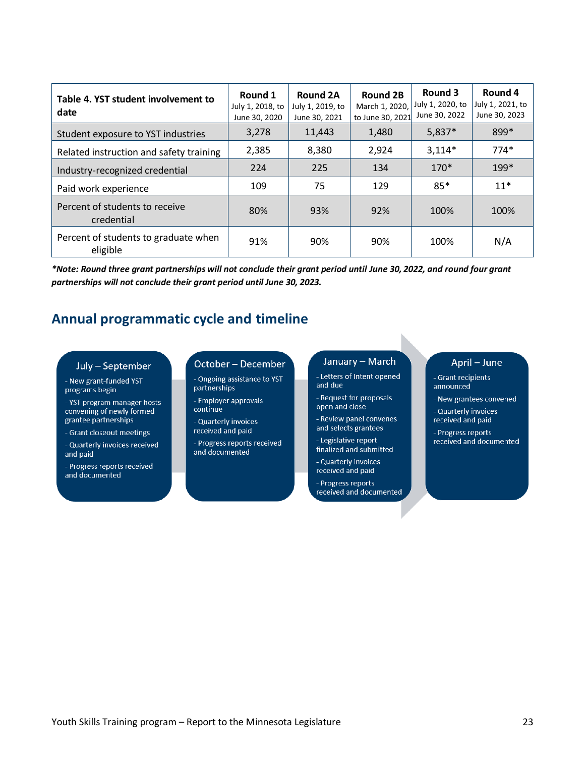| Table 4. YST student involvement to<br>date      | Round 1<br>July 1, 2018, to<br>June 30, 2020 | Round 2A<br>July 1, 2019, to<br>June 30, 2021 | <b>Round 2B</b><br>March 1, 2020,<br>to June 30, 2021 | Round 3<br>July 1, 2020, to<br>June 30, 2022 | Round 4<br>July 1, 2021, to<br>June 30, 2023 |
|--------------------------------------------------|----------------------------------------------|-----------------------------------------------|-------------------------------------------------------|----------------------------------------------|----------------------------------------------|
| Student exposure to YST industries               | 3,278                                        | 11,443                                        | 1,480                                                 | $5,837*$                                     | 899*                                         |
| Related instruction and safety training          | 2,385                                        | 8,380                                         | 2.924                                                 | $3,114*$                                     | $774*$                                       |
| Industry-recognized credential                   | 224                                          | 225                                           | 134                                                   | $170*$                                       | $199*$                                       |
| Paid work experience                             | 109                                          | 75                                            | 129                                                   | $85*$                                        | $11*$                                        |
| Percent of students to receive<br>credential     | 80%                                          | 93%                                           | 92%                                                   | 100%                                         | 100%                                         |
| Percent of students to graduate when<br>eligible | 91%                                          | 90%                                           | 90%                                                   | 100%                                         | N/A                                          |

*\*Note: Round three grant partnerships will not conclude their grant period until June 30, 2022, and round four grant partnerships will not conclude their grant period until June 30, 2023.*

### <span id="page-22-0"></span>**Annual programmatic cycle and timeline**

#### July - September

- New grant-funded YST programs begin
- YST program manager hosts convening of newly formed grantee partnerships
- Grant closeout meetings
- Quarterly invoices received and paid
- <span id="page-22-1"></span>- Progress reports received and documented

#### October - December

- Ongoing assistance to YST partnerships
- Employer approvals continue
- Quarterly invoices received and paid
- Progress reports received and documented

### January - March

- Letters of Intent opened and due
- Request for proposals open and close
- Review panel convenes and selects grantees
- Legislative report finalized and submitted
- Quarterly invoices received and paid
- Progress reports received and documented

#### April - June

- Grant recipients announced
- New grantees convened
- Quarterly invoices received and paid
- Progress reports received and documented

Youth Skills Training program – Report to the Minnesota Legislature 23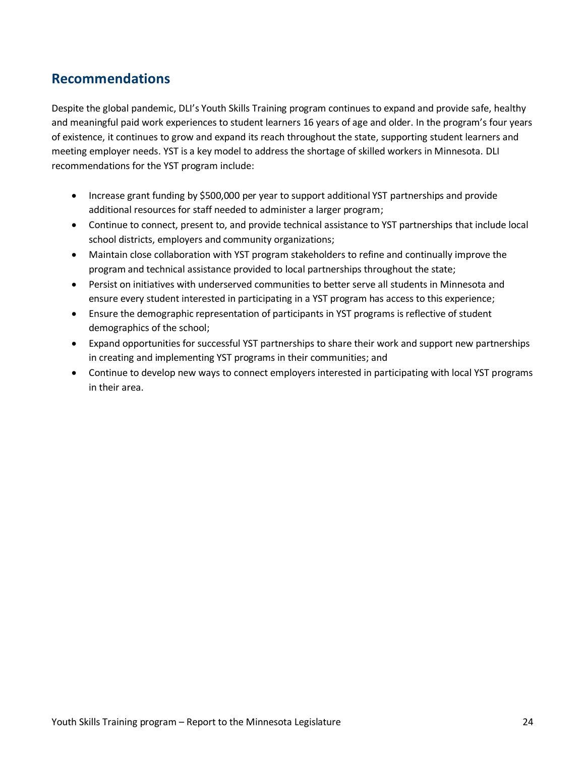### **Recommendations**

Despite the global pandemic, DLI's Youth Skills Training program continues to expand and provide safe, healthy and meaningful paid work experiences to student learners 16 years of age and older. In the program's four years of existence, it continues to grow and expand its reach throughout the state, supporting student learners and meeting employer needs. YST is a key model to address the shortage of skilled workers in Minnesota. DLI recommendations for the YST program include:

- Increase grant funding by \$500,000 per year to support additional YST partnerships and provide additional resources for staff needed to administer a larger program;
- Continue to connect, present to, and provide technical assistance to YST partnerships that include local school districts, employers and community organizations;
- Maintain close collaboration with YST program stakeholders to refine and continually improve the program and technical assistance provided to local partnerships throughout the state;
- Persist on initiatives with underserved communities to better serve all students in Minnesota and ensure every student interested in participating in a YST program has access to this experience;
- Ensure the demographic representation of participants in YST programs is reflective of student demographics of the school;
- Expand opportunities for successful YST partnerships to share their work and support new partnerships in creating and implementing YST programs in their communities; and
- Continue to develop new ways to connect employers interested in participating with local YST programs in their area.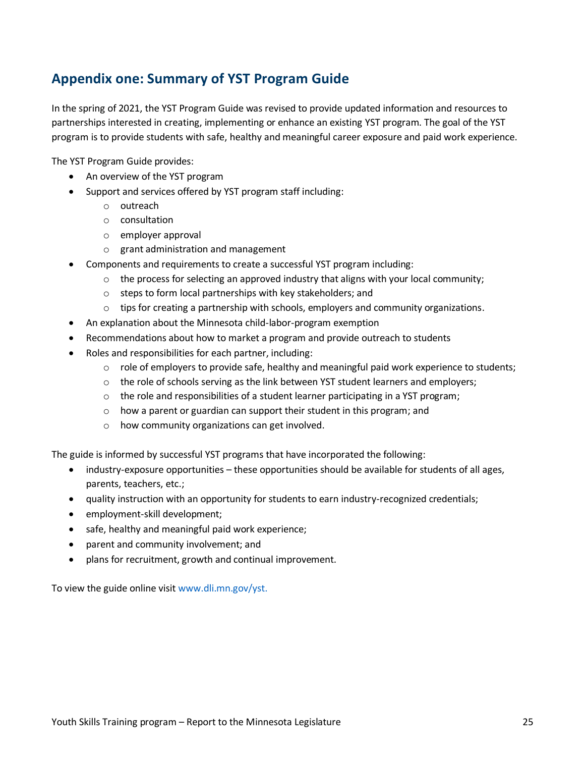### <span id="page-24-0"></span>**Appendix one: Summary of YST Program Guide**

In the spring of 2021, the YST Program Guide was revised to provide updated information and resources to partnerships interested in creating, implementing or enhance an existing YST program. The goal of the YST program is to provide students with safe, healthy and meaningful career exposure and paid work experience.

The YST Program Guide provides:

- An overview of the YST program
- Support and services offered by YST program staff including:
	- o outreach
	- o consultation
	- o employer approval
	- o grant administration and management
- Components and requirements to create a successful YST program including:
	- $\circ$  the process for selecting an approved industry that aligns with your local community;
	- o steps to form local partnerships with key stakeholders; and
	- $\circ$  tips for creating a partnership with schools, employers and community organizations.
- An explanation about the Minnesota child-labor-program exemption
- Recommendations about how to market a program and provide outreach to students
- Roles and responsibilities for each partner, including:
	- $\circ$  role of employers to provide safe, healthy and meaningful paid work experience to students;
	- $\circ$  the role of schools serving as the link between YST student learners and employers;
	- $\circ$  the role and responsibilities of a student learner participating in a YST program;
	- o how a parent or guardian can support their student in this program; and
	- o how community organizations can get involved.

The guide is informed by successful YST programs that have incorporated the following:

- industry-exposure opportunities these opportunities should be available for students of all ages, parents, teachers, etc.;
- quality instruction with an opportunity for students to earn industry-recognized credentials;
- employment-skill development;
- safe, healthy and meaningful paid work experience;
- parent and community involvement; and
- plans for recruitment, growth and continual improvement.

To view the guide online visi[t www.dli.mn.gov/yst.](http://www.dli.mn.gov/yst)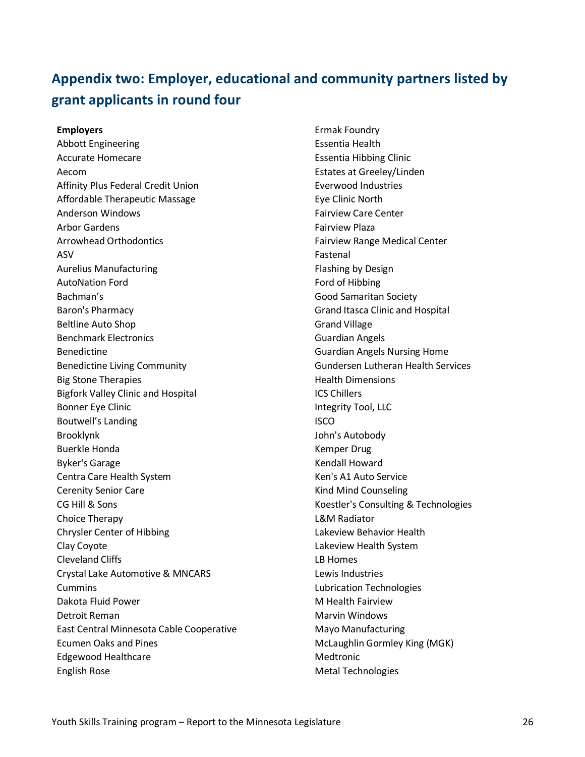# <span id="page-25-0"></span>**Appendix two: Employer, educational and community partners listed by grant applicants in round four**

**Employers** Abbott Engineering Accurate Homecare Aecom Affinity Plus Federal Credit Union Affordable Therapeutic Massage Anderson Windows Arbor Gardens Arrowhead Orthodontics ASV Aurelius Manufacturing AutoNation Ford Bachman's Baron's Pharmacy Beltline Auto Shop Benchmark Electronics Benedictine Benedictine Living Community Big Stone Therapies Bigfork Valley Clinic and Hospital Bonner Eye Clinic Boutwell's Landing Brooklynk Buerkle Honda Byker's Garage Centra Care Health System Cerenity Senior Care CG Hill & Sons Choice Therapy Chrysler Center of Hibbing Clay Coyote Cleveland Cliffs Crystal Lake Automotive & MNCARS Cummins Dakota Fluid Power Detroit Reman East Central Minnesota Cable Cooperative Ecumen Oaks and Pines Edgewood Healthcare English Rose

Ermak Foundry Essentia Health Essentia Hibbing Clinic Estates at Greeley/Linden Everwood Industries Eye Clinic North Fairview Care Center Fairview Plaza Fairview Range Medical Center Fastenal Flashing by Design Ford of Hibbing Good Samaritan Society Grand Itasca Clinic and Hospital Grand Village Guardian Angels Guardian Angels Nursing Home Gundersen Lutheran Health Services Health Dimensions ICS Chillers Integrity Tool, LLC ISCO John's Autobody Kemper Drug Kendall Howard Ken's A1 Auto Service Kind Mind Counseling Koestler's Consulting & Technologies L&M Radiator Lakeview Behavior Health Lakeview Health System LB Homes Lewis Industries Lubrication Technologies M Health Fairview Marvin Windows Mayo Manufacturing McLaughlin Gormley King (MGK) Medtronic Metal Technologies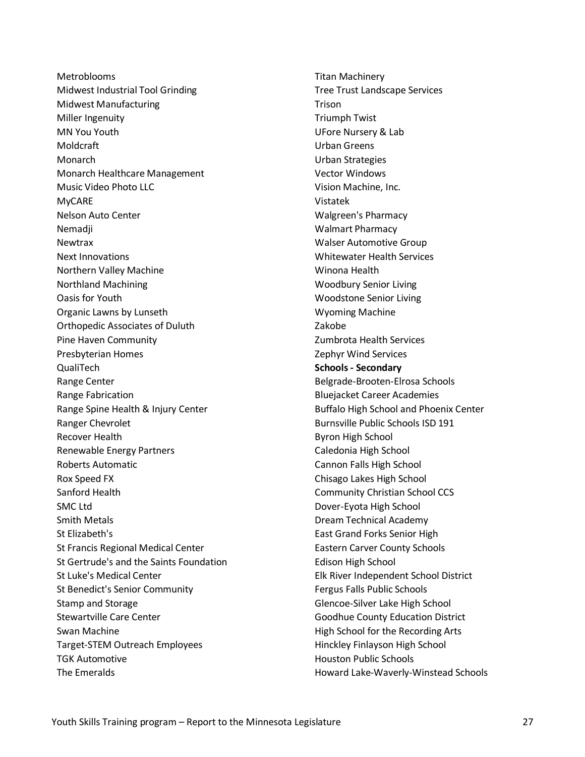**Metroblooms** Midwest Industrial Tool Grinding Midwest Manufacturing Miller Ingenuity MN You Youth Moldcraft **Monarch** Monarch Healthcare Management Music Video Photo LLC MyCARE Nelson Auto Center **Nemadii** Newtrax Next Innovations Northern Valley Machine Northland Machining Oasis for Youth Organic Lawns by Lunseth Orthopedic Associates of Duluth Pine Haven Community Presbyterian Homes QualiTech Range Center Range Fabrication Range Spine Health & Injury Center Ranger Chevrolet Recover Health Renewable Energy Partners Roberts Automatic Rox Speed FX Sanford Health SMC Ltd Smith Metals St Elizabeth's St Francis Regional Medical Center St Gertrude's and the Saints Foundation St Luke's Medical Center St Benedict's Senior Community Stamp and Storage Stewartville Care Center Swan Machine Target-STEM Outreach Employees TGK Automotive The Emeralds

Titan Machinery Tree Trust Landscape Services Trison Triumph Twist UFore Nursery & Lab Urban Greens Urban Strategies Vector Windows Vision Machine, Inc. Vistatek Walgreen's Pharmacy Walmart Pharmacy Walser Automotive Group Whitewater Health Services Winona Health Woodbury Senior Living Woodstone Senior Living Wyoming Machine Zakobe Zumbrota Health Services Zephyr Wind Services **Schools - Secondary** Belgrade-Brooten-Elrosa Schools Bluejacket Career Academies Buffalo High School and Phoenix Center Burnsville Public Schools ISD 191 Byron High School Caledonia High School Cannon Falls High School Chisago Lakes High School Community Christian School CCS Dover-Eyota High School Dream Technical Academy East Grand Forks Senior High Eastern Carver County Schools Edison High School Elk River Independent School District Fergus Falls Public Schools Glencoe-Silver Lake High School Goodhue County Education District High School for the Recording Arts Hinckley Finlayson High School Houston Public Schools Howard Lake-Waverly-Winstead Schools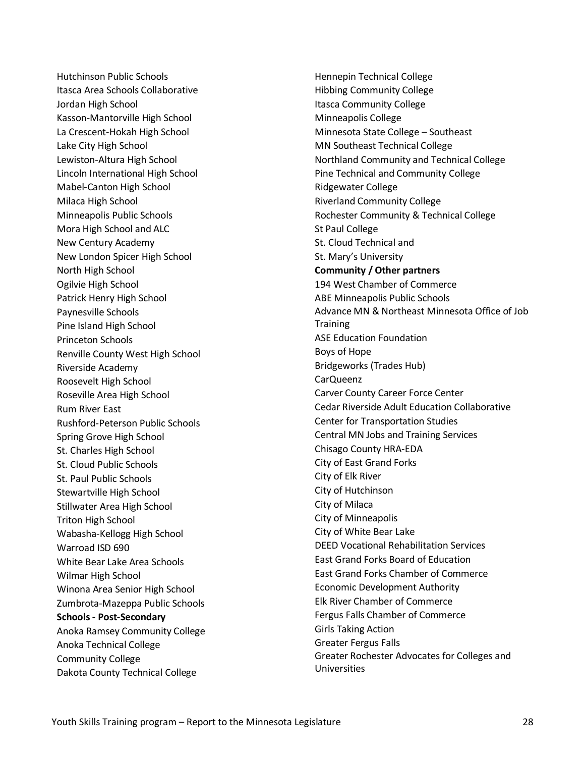Hutchinson Public Schools Itasca Area Schools Collaborative Jordan High School Kasson-Mantorville High School La Crescent-Hokah High School Lake City High School Lewiston-Altura High School Lincoln International High School Mabel-Canton High School Milaca High School Minneapolis Public Schools Mora High School and ALC New Century Academy New London Spicer High School North High School Ogilvie High School Patrick Henry High School Paynesville Schools Pine Island High School Princeton Schools Renville County West High School Riverside Academy Roosevelt High School Roseville Area High School Rum River East Rushford-Peterson Public Schools Spring Grove High School St. Charles High School St. Cloud Public Schools St. Paul Public Schools Stewartville High School Stillwater Area High School Triton High School Wabasha-Kellogg High School Warroad ISD 690 White Bear Lake Area Schools Wilmar High School Winona Area Senior High School Zumbrota-Mazeppa Public Schools **Schools - Post-Secondary** Anoka Ramsey Community College Anoka Technical College Community College Dakota County Technical College

Hennepin Technical College Hibbing Community College Itasca Community College Minneapolis College Minnesota State College – Southeast MN Southeast Technical College Northland Community and Technical College Pine Technical and Community College Ridgewater College Riverland Community College Rochester Community & Technical College St Paul College St. Cloud Technical and St. Mary's University **Community / Other partners** 194 West Chamber of Commerce ABE Minneapolis Public Schools Advance MN & Northeast Minnesota Office of Job **Training** ASE Education Foundation Boys of Hope Bridgeworks (Trades Hub) CarQueenz Carver County Career Force Center Cedar Riverside Adult Education Collaborative Center for Transportation Studies Central MN Jobs and Training Services Chisago County HRA-EDA City of East Grand Forks City of Elk River City of Hutchinson City of Milaca City of Minneapolis City of White Bear Lake DEED Vocational Rehabilitation Services East Grand Forks Board of Education East Grand Forks Chamber of Commerce Economic Development Authority Elk River Chamber of Commerce Fergus Falls Chamber of Commerce Girls Taking Action Greater Fergus Falls Greater Rochester Advocates for Colleges and Universities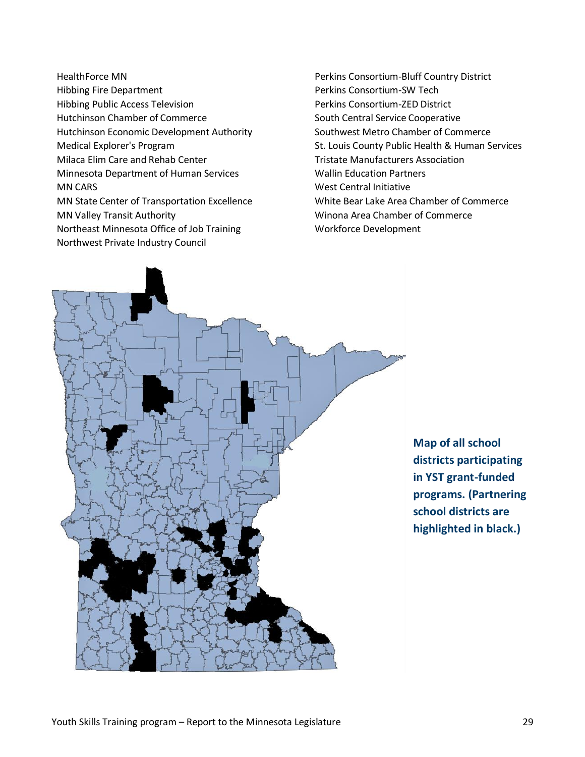HealthForce MN Hibbing Fire Department Hibbing Public Access Television Hutchinson Chamber of Commerce Hutchinson Economic Development Authority Medical Explorer's Program Milaca Elim Care and Rehab Center Minnesota Department of Human Services MN CARS MN State Center of Transportation Excellence MN Valley Transit Authority Northeast Minnesota Office of Job Training Northwest Private Industry Council

Perkins Consortium-Bluff Country District Perkins Consortium-SW Tech Perkins Consortium-ZED District South Central Service Cooperative Southwest Metro Chamber of Commerce St. Louis County Public Health & Human Services Tristate Manufacturers Association Wallin Education Partners West Central Initiative White Bear Lake Area Chamber of Commerce Winona Area Chamber of Commerce Workforce Development



<span id="page-28-0"></span>**Map of all school districts participating in YST grant-funded programs. (Partnering school districts are highlighted in black.)**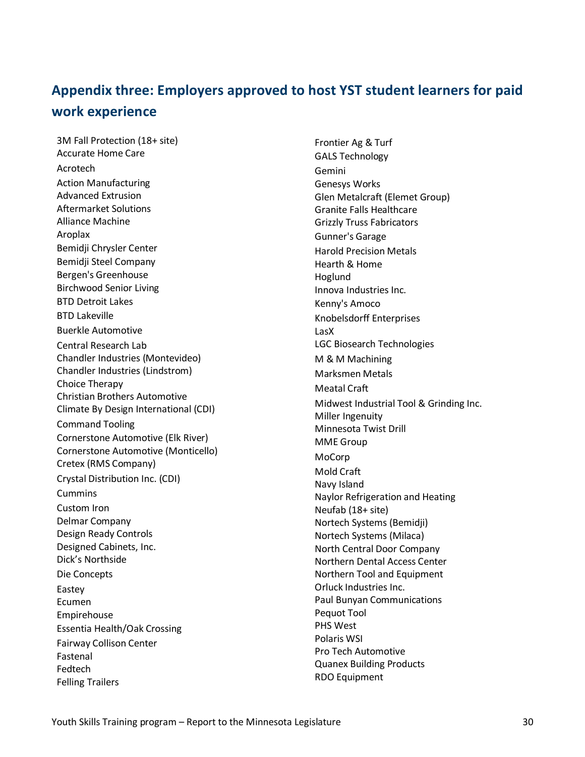# <span id="page-29-0"></span>**Appendix three: Employers approved to host YST student learners for paid work experience**

3M Fall Protection (18+ site) Accurate Home Care Acrotech Action Manufacturing Advanced Extrusion Aftermarket Solutions Alliance Machine Aroplax Bemidji Chrysler Center Bemidji Steel Company Bergen's Greenhouse Birchwood Senior Living BTD Detroit Lakes BTD Lakeville Buerkle Automotive Central Research Lab Chandler Industries (Montevideo) Chandler Industries (Lindstrom) Choice Therapy Christian Brothers Automotive Climate By Design International (CDI) Command Tooling Cornerstone Automotive (Elk River) Cornerstone Automotive (Monticello) Cretex (RMS Company) Crystal Distribution Inc. (CDI) Cummins Custom Iron Delmar Company Design Ready Controls Designed Cabinets, Inc. Dick's Northside Die Concepts Eastey Ecumen Empirehouse Essentia Health/Oak Crossing Fairway Collison Center Fastenal Fedtech Felling Trailers

Frontier Ag & Turf GALS Technology Gemini Genesys Works Glen Metalcraft (Elemet Group) Granite Falls Healthcare Grizzly Truss Fabricators Gunner's Garage Harold Precision Metals Hearth & Home Hoglund Innova Industries Inc. Kenny's Amoco Knobelsdorff Enterprises LasX LGC Biosearch Technologies M & M Machining Marksmen Metals Meatal Craft Midwest Industrial Tool & Grinding Inc. Miller Ingenuity Minnesota Twist Drill MME Group MoCorp Mold Craft Navy Island Naylor Refrigeration and Heating Neufab (18+ site) Nortech Systems (Bemidji) Nortech Systems (Milaca) North Central Door Company Northern Dental Access Center Northern Tool and Equipment Orluck Industries Inc. Paul Bunyan Communications Pequot Tool PHS West Polaris WSI Pro Tech Automotive Quanex Building Products RDO Equipment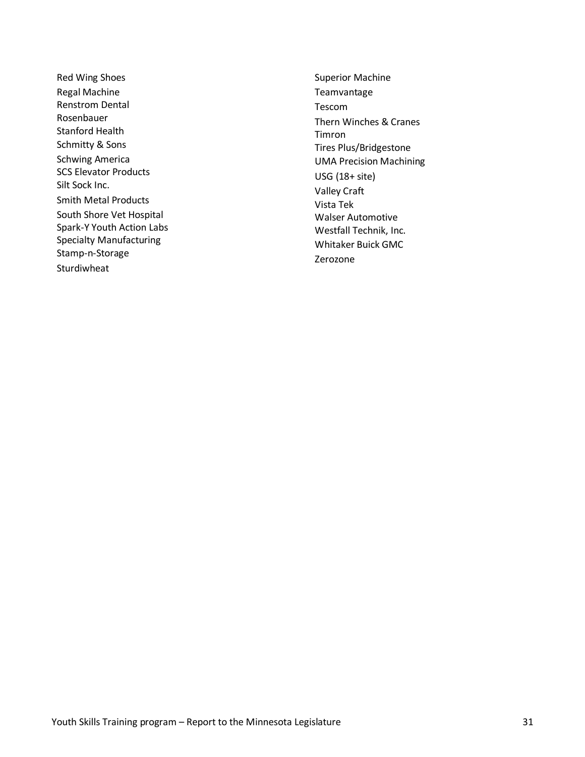Red Wing Shoes Regal Machine Renstrom Dental Rosenbauer Stanford Health Schmitty & Sons Schwing America SCS Elevator Products Silt Sock Inc. Smith Metal Products South Shore Vet Hospital Spark-Y Youth Action Labs Specialty Manufacturing Stamp-n-Storage Sturdiwheat

Superior Machine Teamvantage Tescom Thern Winches & Cranes Timron Tires Plus/Bridgestone UMA Precision Machining USG (18+ site) Valley Craft Vista Tek Walser Automotive Westfall Technik, Inc. Whitaker Buick GMC Zerozone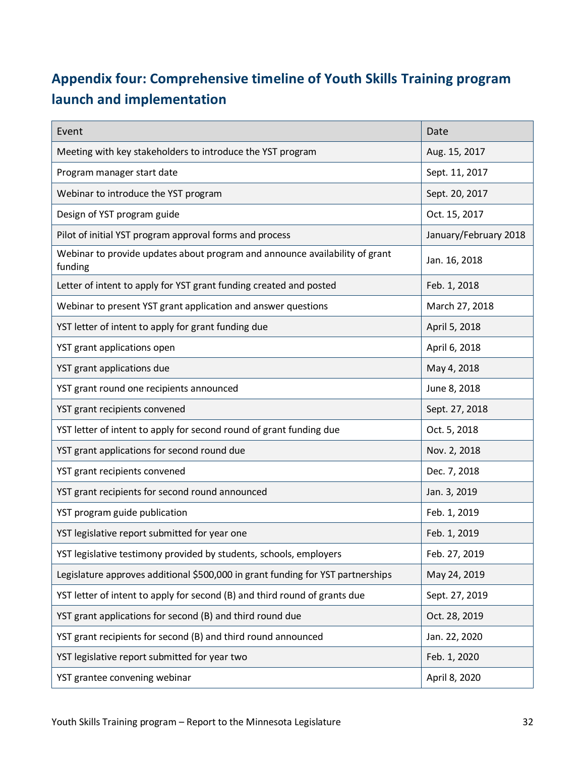# <span id="page-31-0"></span>**Appendix four: Comprehensive timeline of Youth Skills Training program launch and implementation**

| Event                                                                                  | Date                  |
|----------------------------------------------------------------------------------------|-----------------------|
| Meeting with key stakeholders to introduce the YST program                             | Aug. 15, 2017         |
| Program manager start date                                                             | Sept. 11, 2017        |
| Webinar to introduce the YST program                                                   | Sept. 20, 2017        |
| Design of YST program guide                                                            | Oct. 15, 2017         |
| Pilot of initial YST program approval forms and process                                | January/February 2018 |
| Webinar to provide updates about program and announce availability of grant<br>funding | Jan. 16, 2018         |
| Letter of intent to apply for YST grant funding created and posted                     | Feb. 1, 2018          |
| Webinar to present YST grant application and answer questions                          | March 27, 2018        |
| YST letter of intent to apply for grant funding due                                    | April 5, 2018         |
| YST grant applications open                                                            | April 6, 2018         |
| YST grant applications due                                                             | May 4, 2018           |
| YST grant round one recipients announced                                               | June 8, 2018          |
| YST grant recipients convened                                                          | Sept. 27, 2018        |
| YST letter of intent to apply for second round of grant funding due                    | Oct. 5, 2018          |
| YST grant applications for second round due                                            | Nov. 2, 2018          |
| YST grant recipients convened                                                          | Dec. 7, 2018          |
| YST grant recipients for second round announced                                        | Jan. 3, 2019          |
| YST program guide publication                                                          | Feb. 1, 2019          |
| YST legislative report submitted for year one                                          | Feb. 1, 2019          |
| YST legislative testimony provided by students, schools, employers                     | Feb. 27, 2019         |
| Legislature approves additional \$500,000 in grant funding for YST partnerships        | May 24, 2019          |
| YST letter of intent to apply for second (B) and third round of grants due             | Sept. 27, 2019        |
| YST grant applications for second (B) and third round due                              | Oct. 28, 2019         |
| YST grant recipients for second (B) and third round announced                          | Jan. 22, 2020         |
| YST legislative report submitted for year two                                          | Feb. 1, 2020          |
| YST grantee convening webinar                                                          | April 8, 2020         |